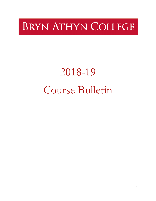## BRYN ATHYN COLLEGE

# 2018-19 Course Bulletin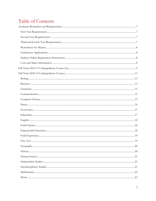### Table of Contents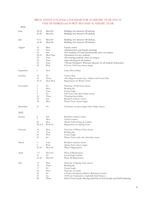### BRYN ATHYN COLLEGE CALENDAR FOR ACADEMIC YEAR 2018-19: ONE HUNDRED and FORTY-SECOND ACADEMIC YEAR

2018

| 2010      |            |             |                                                                                                         |
|-----------|------------|-------------|---------------------------------------------------------------------------------------------------------|
| June      | 18-22      | Mon-Fri     | Building Arts Intensive Workshop                                                                        |
|           | 25-29      | Mon-Fri     | Building Arts Intensive Workshop                                                                        |
| July      | $9 - 13$   | Mon-Fri     | Building Arts Intensive Workshop                                                                        |
|           | $16 - 20$  | Mon-Fri     | Building Arts Intensive Workshop                                                                        |
| August    | 13         | Mon         | Faculty retreat                                                                                         |
|           | 14         | Tues        | Administration and Faculty meetings                                                                     |
|           | 19         | Sun         | New Students (US and International) arrive on campus                                                    |
|           | 20-21      | Mon-Tues    | Orientation for new students                                                                            |
|           | 21         | Tues        | All returning students arrive on campus                                                                 |
|           | 21<br>21   | Tues        | Open advising for all students                                                                          |
|           | 22         | Tues<br>Wed | 7:00 pm: President's Welcome (dessert) for all students (Glencairn)<br>8:10 am: Fall Term classes begin |
| September | 3          | Mon         | Labor Day holiday                                                                                       |
| October   | 12         | Fri         | Charter Day                                                                                             |
|           | 18         | Thurs       | All college in-service day-Majors and Career Day                                                        |
|           | $22 - 31$  | Mon-Wed     | Registration for Winter Term                                                                            |
| November  | 2          | Fri         | Final day of Fall Term classes                                                                          |
|           | 5          | Mon         | Reading day                                                                                             |
|           | 6          | Tues        | Exams begin                                                                                             |
|           | 9          | Fri         | Fall Term ends after Friday exams                                                                       |
|           | 22         | Thurs       | Thanksgiving holiday                                                                                    |
|           | 25         | Sun         | Resident students return                                                                                |
|           | 26         | Mon         | Winter Term classes begin                                                                               |
| December  | 21         | Fri         | Christmas vacation begins after Friday classes                                                          |
| 2019      |            |             |                                                                                                         |
| January   | 6          | Sun         | Resident students return                                                                                |
|           | 7          | Mon         | Classes resume                                                                                          |
|           | 21         | Mon         | Martin Luther King, Jr. holiday                                                                         |
|           | $23 - 2/1$ | Wed-Fri     | Registration for Spring Term                                                                            |
| February  | 18         | Mon         | Final day of Winter Term classes                                                                        |
|           | 19         | Tues        | Reading day                                                                                             |
|           | 20         | Wed         | Exams begin                                                                                             |
|           | 23         | Sat         | Winter Term ends after Saturday exams                                                                   |
| March     | 5          | Tues        | Resident students return                                                                                |
|           | 6          | Wed         | Spring Term classes begin                                                                               |
|           | 25-29      | Mon-Fri     | Phase I Registration                                                                                    |
| April     | $1 - 5$    | Mon-Fri     | Phase II Registration                                                                                   |
|           | 19         | Fri         | Good Friday holiday                                                                                     |
|           | $22 - 26$  | Mon-Fri     | Phase III Registration                                                                                  |
| May       | 15         | Wed         | Final day of Spring Term classes                                                                        |
|           | 16         | Thurs       | Reading day                                                                                             |
|           | 17         | Fri         | Exams begin                                                                                             |
|           | 22         | Wed         | Final day of exams                                                                                      |
|           | 24         | Fri         | 6:30 pm: Graduation Dinner (Brickman Center)                                                            |
|           | 25         | Sat         | 10:00 am: Graduation (Asplundh Field House)                                                             |
|           | 30         | Thurs       | End of Year Faculty Meeting and End of Year Faculty and Staff Gathering                                 |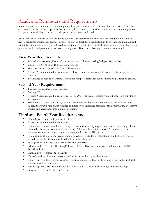### Academic Reminders and Requirements

Make sure you have a tentative academic plan before you see your advisor to register for classes. Your advisor can provide information and perspectives that may help you make decisions, but it is your academic program. It is your responsibility to ensure it is the program you want and need.

Each term, choose three or four academic courses at the appropriate level. Full-time students must take at least 9 academic credits each term. However, to stay on track for a graduation in four years and maintain full eligibility for student loans, you will need to complete 31 credits per year. Full-time tuition covers 14.5 credits per term; additional payment is necessary for any more. Keep the following requirements in mind:

### **First Year Requirements**

- Two religion courses (100-level) during the year including passing Religion 101 or 110
- Writing 101 (or Writing 100 as recommended)
- Math 101 (or test out of it via Math placement test)
- At least 9 academic credits each term 100-level courses unless you get permission for upper-level courses
- To advance to second year status, you must complete residency requirements and at least 31 credits.

### **Second Year Requirements**

- Two religion courses during the year
- Writing 202
- At least 9 academic credits each term 100- or 200-level courses unless you get permission for higherlevel courses
- To advance to third year status, you must complete residency requirements and accumulate at least 62 credits. Fourth year status requires completion of residency requirements, accumulating at least 93 credits, and acceptance into a major program.

### **Third and Fourth Year Requirements**

- One religion course each year (not 100-level)
- At least 9 academic credits each term
- Graduation requires completion of major, core, and residency requirements and completing at least 124 credits (some majors may require more). Additionally, a minimum of 120 credits must be academic (some courses carry non-academic credit, mainly PE courses).
- In addition to the residency requirements listed above, students interested in the following majors should register for the courses listed below in their first year:
- Biology: Bio122 & 123, Chem101 and/or Chem110&111
- Education: Ed128, ESci110, Geog110, any 100-level History course, two math courses, Phil102, Rel101 or 110
- English: n/a (Recommended: Eng105)
- ID: 100-level requirements/recommendations from the appropriate areas
- History: any 100-level history courses (Recommended: 100-level anthropology, geography, political science, sociology courses)
- Psychology: Psyc101 (Recommended: Math130 and 100-level anthropology and/or sociology)
- Religion: Rel110 and either Rel115 or Rel125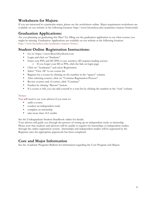### **Worksheets for Majors:**

If you are interested in a particular major, please see the worksheets online. Major requirement worksheets are available on our website at the following location: http://www.brynathyn.edu/academics/majors/forms.html.

### **Graduation Applications:**

Are you planning on graduating this May? Try filling out the graduation application to see what courses you might be missing. Graduation Applications are available on our website at the following location: http://www.brynathyn.edu/academics/majors/forms/.

### **Student Online Registration Instructions:**

- Go to: https://www.BrynAthynSonis.com
- Login and click on "Students"
- Enter your PIN and ID (PIN is case sensitive, ID requires leading zeroes) o If you forget your ID or PIN, click the link on login page
- Click on "Academics" and select Registration
- Select "View All" to see course list
- Register for a course by clicking on the number in the "spaces" column
- After selecting courses, click on "Continue Registration Process"
- Review courses and, if correct, click "Continue"
- Finalize by clicking "Return" button.
- If a course is full, you can add yourself to a wait list by clicking the number in the "wait" column

### Notes:

You will need to see your advisor if you want to:

- audit a course
- conduct an independent study
- complete an internship
- take more than 14.5 credits

See the Undergraduate Student Handbook online for details.

Your advisor will guide you through the process of setting up an independent study or internship. Please note that students and advisors will be unable to register for internships or independent studies through the online registration system. Internships and independent studies will be registered by the Registrar once the appropriate paperwork has been completed.

### **Core and Major Information**

See the Academic Programs Bulletin for information regarding the Core Program and Majors.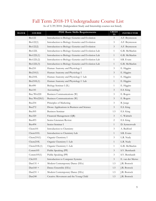### Fall Term 2018-19 Undergraduate Course List

| As of 3/29/2018. (Independent Study and Internship courses not listed). |  |  |  |
|-------------------------------------------------------------------------|--|--|--|
|                                                                         |  |  |  |

| <b>BLOCK</b> | <b>COURSE</b> | <b>PDE Basic Skills Requirements</b>                | <b>CREDI</b><br><b>TS</b> | <b>INSTRUCTOR</b> |
|--------------|---------------|-----------------------------------------------------|---------------------------|-------------------|
|              | <b>Bio122</b> | Introduction to Biology: Genetics and Evolution     | $\mathfrak{Z}$            | A.F. Bryntesson   |
|              | Bio122(1)     | Introduction to Biology: Genetics and Evolution     | 3                         | A.F. Bryntesson   |
|              | Bio122(2)     | Introduction to Biology: Genetics and Evolution     | $\mathfrak{Z}$            | A.F. Bryntesson   |
|              | Bio122L       | Introduction to Biology: Genetics and Evolution Lab | $\mathbf{1}$              | G.R. McMackin     |
|              | Bio122L(1)    | Introduction to Biology: Genetics and Evolution Lab | $\mathbf{1}$              | G.R. McMackin     |
|              | Bio122L(2)    | Introduction to Biology: Genetics and Evolution Lab | $\mathbf{1}$              | S.R. Evans        |
|              | Bio122L(3)    | Introduction to Biology: Genetics and Evolution Lab | $\mathbf{1}$              | G.R. McMackin     |
|              | <b>Bio210</b> | Human Anatomy and Physiology I                      | 3                         | E. Higgins        |
|              | Bio210(1)     | Human Anatomy and Physiology I                      | $\mathfrak{Z}$            | E. Higgins        |
|              | Bio210L       | Human Anatomy and Physiology I Lab                  | $\mathbf{1}$              | E. Higgins        |
|              | Bio210L(1)    | Human Anatomy and Physiology I Lab                  | $\mathbf{1}$              | E. Higgins        |
|              | <b>Bio490</b> | Biology Seminar I (IL)                              | $\mathbf{1}$              | E. Higgins        |
|              | <b>Bus141</b> | Accounting I                                        | 3                         | E.S. King         |
|              | Bus/Wrt220    | Business Communications (W)                         | 3                         | E. Rogers         |
|              | Bus/Wrt220(1) | Business Communications (W)                         | $\mathfrak{Z}$            | E. Rogers         |
|              | <b>Bus254</b> | Principles of Marketing                             | $\mathfrak{Z}$            | B. Junge          |
|              | <b>Bus272</b> | Drone Applications in Business and Science          | 3                         | E.S. King         |
|              | <b>Bus305</b> | <b>Business Seminar</b>                             | 1.5                       | E.S. King         |
|              | <b>Bus320</b> | Financial Management (QR)                           | $\mathfrak{Z}$            | C. Waltrich       |
|              | <b>Bus493</b> | Senior Literature Review                            | $\overline{c}$            | E.S. King         |
|              | <b>Bus494</b> | Senior Seminar I                                    | $\mathbf{1}$              | D. Synnestvedt    |
|              | Chem101       | Introduction to Chemistry                           | $\mathfrak{Z}$            | A. Bedford        |
|              | Chem101L      | Introduction to Chemistry Lab                       | $\mathbf{1}$              | S.R. Evans        |
|              | Chem $210(1)$ | Organic Chemistry I                                 | 3                         | L.R. Nudy         |
|              | Chem210L      | Organic Chemistry I -Lab                            | $\mathbf{1}$              | L.R. Nudy         |
|              | Chem210L(1)   | Organic Chemistry I -Lab                            | $\mathbf{1}$              | G.R. McMackin     |
|              | Comm105       | Public Speaking (PP)                                | $\mathfrak{Z}$            | S.V. Bernhardt    |
|              | Comm105(1)    | Public Speaking (PP)                                | 3                         | S.V. Bernhardt    |
|              | CSci105       | Introduction to Computer Systems                    | $\mathfrak{Z}$            | E. van der Merwe  |
|              | $Dan131 +$    | Modern Contemporary Dance (EEc)                     | 1.5                       | J.R. Bostock      |
|              | $Dan160 +$    | Dance Ensemble (EEc)                                | 1.5                       | J.R. Bostock      |
|              | Dan231 +      | Modern Contemporary Dance (EEc)                     | 1.5                       | J.R. Bostock      |
|              | Dan240        | Creative Movement and the Young Child               | 1.5                       | J.R. Bostock      |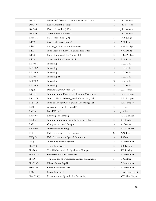| Dan241          | History of Twentieth-Century American Dance      | 3              | J.R. Bostock     |
|-----------------|--------------------------------------------------|----------------|------------------|
| $Dan260 +$      | Dance Ensemble (EEc)                             | 1.5            | J.R. Bostock     |
| $Dan360 +$      | Dance Ensemble (EEc)                             | 1.5            | J.R. Bostock     |
| Dan493          | Senior Literature Review                         | 2              | J.R. Bostock     |
| Econ131         | Macroeconomics (QR)                              | $\mathfrak{Z}$ | W.B. Junge       |
| Ed202           | Moral Education (Moral)                          | $\mathfrak{Z}$ | A.N. Rose        |
| Ed217           | Language, Literacy, and Numeracy                 | $\mathfrak{Z}$ | N.G. Phillips    |
| Ed271           | Introduction to Early Childhood Education        | $\mathfrak{Z}$ | N.G. Phillips    |
| Ed322           | Social Studies and the Young Child               | 3              | N.G. Phillips    |
| Ed324           | Science and the Young Child                      | $\mathfrak{Z}$ | A.N. Rose        |
| EE198-1         | Internship                                       | $\mathbf{1}$   | L.C. Nash        |
| EE198-2         | Internship                                       | $\overline{2}$ | L.C. Nash        |
| EE198-3         | Internship                                       | $\mathfrak{Z}$ | L.C. Nash        |
| EE298-1         | Internship II                                    | $\mathbf{1}$   | L.C. Nash        |
| EE298-2         | Internship                                       | 2              | L.C. Nash        |
| EE298-3         | Internship                                       | $\mathfrak{Z}$ | L.C. Nash        |
| Eng255          | Postapocalyptic Fiction (W)                      | 3              | C. Hoffman       |
| ESci110         | Introduction to Physical Geology and Meteorology | $\mathfrak{Z}$ | E.R. Potapov     |
| ESci110L        | Intro to Physical Geology and Meteorology Lab    | $\mathbf{1}$   | E.R. Potapov     |
| ESci110L(1)     | Intro to Physical Geology and Meteorology Lab    | $\mathbf{1}$   | E.R. Potapov     |
| FA101           | Aegean to Early Christian (IL)                   | 3              | J. Kline         |
| FA120           | Metal Work I                                     | 3              | J. Kline         |
| $FA140 +$       | Drawing and Painting                             | 3              | M. Gyllenhaal    |
| FA205           | Introduction to American Architectural History   | $\mathfrak{Z}$ | S.E. Hartley     |
| FA232           | Computer Assisted Design                         | $\mathfrak{Z}$ | K. Cooper        |
| $FA240 +$       | Intermediate Painting                            | $\mathfrak{Z}$ | M. Gyllenhaal    |
| FE <sub>1</sub> | Field Experience I: Observation                  | 2.5            | A.N. Rose        |
| FESpEd          | Field Experience in Special Education            | $\mathfrak{Z}$ | S. Wong          |
| Geog110         | World Regional Geography                         | $\mathfrak{Z}$ | A. Yardumian     |
| Hist112         | The Viking World                                 | $\mathfrak{Z}$ | S.B. Lawing      |
| Hist205         | The Witch-Hunt in Early Modern Europe            | $\mathfrak{Z}$ | S.B. Lawing      |
| Hist298G        | Glencairn Museum Internship                      | $\mathbf{1}$   | A. Yardumian     |
| Hist305         | The Creation of Democracy: Athens and America    | $\mathfrak{Z}$ | D.G. Rose        |
| Hist398G        | History Internship II                            | $\mathbf{1}$   | A. Yardumian     |
| HSoc401         | Capstone Seminar I (IL)                          | $\mathfrak{Z}$ | A. Yardumian     |
| ID494           | Senior Seminar I                                 | $\mathbf{1}$   | D.A. Synnestvedt |
| Math095(2)      | Preparation for Quantitative Reasoning           | $\mathbf{1}$   | M.T. Genzlinger  |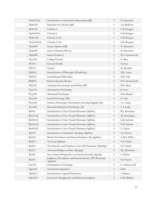| Math101(2)          | Introduction to Quantitative Reasoning (QR)                          | $\mathfrak{Z}$ | N. Simonetti     |
|---------------------|----------------------------------------------------------------------|----------------|------------------|
| Math140             | Elements of Calculus (QR)                                            | 3              | A.J. Bedford     |
| Math150             | Calculus I                                                           | 3              | C.B. Bongers     |
| Math150(1)          | Calculus I                                                           | $\mathfrak{Z}$ | C.B. Bongers     |
| Math150L            | Calculus I Lab                                                       | $\mathbf{1}$   | C.B. Bongers     |
| Math150L(1)         | Calculus I Lab                                                       | 1              | C.B. Bongers     |
| Math240             | Linear Algebra (QR)                                                  | $\mathfrak{Z}$ | N. Simonetti     |
| Math493             | Senior Literature Review                                             | 2              | N. Simonetti     |
| Math494             | Senior Seminar I                                                     | 1              | D.A. Synnestvedt |
| Mus100              | College Chorale                                                      | 1              | G. Bier          |
| <b>PE103</b>        | Life and Health                                                      | 1              | S. Jones         |
| <b>PE110</b>        | Tennis                                                               | $\mathbf{1}$   | D. Sheaffer      |
| Phil102             | Introduction to Philosophy (Worldview)                               | $\mathfrak{Z}$ | M.E. Latta       |
| Phil <sub>321</sub> | Swedenborg's Philosophy                                              | $\mathfrak{Z}$ | S.D. Cole        |
| Phil493             | Senior Literature Review                                             | 3              | D.A. Synnestvedt |
| PSci210             | American Government and Politics (PP)                                | $\mathfrak{Z}$ | D.G. Rose        |
| Psyc101             | <b>Introductory Psychology</b>                                       | $\mathfrak{Z}$ | K. Frey          |
| Psyc201             | Abnormal Psychology                                                  | 3              | K.K. Rogers      |
| Psyc205             | Social Psychology (PP)                                               | $\mathfrak{Z}$ | K. Frey          |
| Psyc285             | Positive Psychology: The Science of Living Happily (EE)              | 3              | L.C. Nash        |
| Psyc490             | Research Methods in Psychology (IL)                                  | $\mathfrak{Z}$ | F. Cavallo       |
| <b>Rel101</b>       | Introduction to New Church Doctrines (SpDoc)                         | 3              | R.J. Silverman   |
| Rel101(2)           | Introduction to New Church Doctrines (SpDoc)                         | $\mathfrak{Z}$ | M. Genzlinger    |
| Rel101(3)           | Introduction to New Church Doctrines (SpDoc)                         | 3              | G.R. Schnarr     |
| Rel101(4)           | Introduction to New Church Doctrines (SpDoc)                         | $\mathfrak{Z}$ | G.R. Schnarr     |
| Rel101(5)           | Introduction to New Church Doctrines (SpDoc)                         | 3              | C. Glenn         |
| <b>Rel110</b>       | Introduction to Systematic Theology (SpDoc)                          | $\mathfrak{Z}$ | S.I. Frazier     |
| Rel210              | Divine Providence and Human Prudence (IL) (SpDoc)                    | 3              | A.M.T. Dibb      |
| Rel215              | The Lord (SpDoc)                                                     | $\mathfrak{Z}$ | T.P. Glenn       |
| Rel221              | The Histories and Prophets of the Old Testament (SpScript)           | $\mathfrak{Z}$ | S.I. Frazier     |
| Rel272              | Advanced Religious Ethics (SpAppl)                                   | $\mathfrak{Z}$ | R.J. Silverman   |
| Rel301              | New Church Perspectives on Human Sexuality (SpApl)                   | $\mathfrak{Z}$ | C. Barber        |
| Re320               | Judgment, Providence, and Human Society. (PP, Doctrinal,<br>Applied) | $\mathfrak{Z}$ | S.I. Frazier     |
| Soc110              | Introduction to Sociology                                            | $\mathfrak{Z}$ | S. Anderson III  |
| Span101             | Introductory Spanish I                                               | $\mathfrak{Z}$ | Staff            |
| SpEd111             | Introduction to Special Education                                    | $\mathfrak{Z}$ | I. Simons        |
| SpEd331             | Classroom Management and Behavioral Support                          | $\mathfrak{Z}$ | K.M. Ballard     |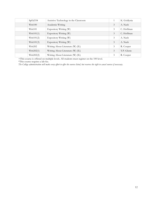| SpEd334             | Assistive Technology in the Classroom | 1 | K. Goldynia |
|---------------------|---------------------------------------|---|-------------|
| Writ100             | Academic Writing                      | 3 | A. Nash     |
| Writ101             | Expository Writing (W)                | 3 | C. Hoffman  |
| Writ101(1)          | Expository Writing (W)                | 3 | C. Hoffman  |
| Writ101(2)          | Expository Writing (W)                | 3 | A. Nash     |
| Writ101(3)          | Expository Writing (W)                | 3 | A. Nash     |
| Writ <sub>202</sub> | Writing About Literature (W) (IL)     | 3 | R. Cooper   |
| Writ202(1)          | Writing About Literature (W) (IL)     | 3 | T.P. Glenn  |
| Writ202(2)          | Writing About Literature (W) (IL)     | 3 | R. Cooper   |

+This course is offered on multiple levels. All students must register on the 100 level.

\*This course requires a lab fee.

*The College administration will make every effort to offer the courses listed, but reserves the right to cancel courses if necessary.*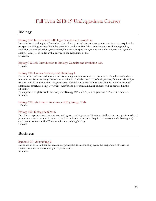### Fall Term 2018-19 Undergraduate Courses

### **Biology**

### Biology 122. Introduction to Biology: Genetics and Evolution.

Introduction to principles of genetics and evolution; one of a two-course gateway series that is required for prospective biology majors. Includes Mendelian and non-Mendelian inheritance, quantitative genetics, evolution, natural selection, genetic drift, kin selection, speciation, molecular evolution, and phylogenetic analysis. Course concludes with a survey of the Kingdoms of life. 3 Credits.

Biology 122 Lab. Introduction to Biology: Genetics and Evolution Lab. 1 Credit.

### Biology 210. Human Anatomy and Physiology I.

First trimester of a two-trimester sequence dealing with the structure and function of the human body and mechanisms for maintaining homeostasis within it. Includes the study of cells, tissues, fluid and electrolyte balance, acid-base balance and integumentary, skeletal, muscular and nervous systems. Identification of anatomical structures using a "virtual" cadaver and preserved animal specimens will be required in the laboratory.

Prerequisites: High School Chemistry and Biology 122 and 123, with a grade of "C" or better in each. 3 Credits.

### Biology 210 Lab. Human Anatomy and Physiology I Lab.

1 Credit.

### Biology 490. Biology Seminar I.

Broadened exposure to active areas of biology and reading current literature. Students encouraged to read and present reviews of current literature related to their senior projects. Required of seniors in the biology major and open to seniors in the ID major who are studying biology. 1 Credit.

### **Business**

Business 141. Accounting I.

Introduction to basic financial accounting principles, the accounting cycle, the preparation of financial statements, and the use of computer spreadsheets. 3 Credits.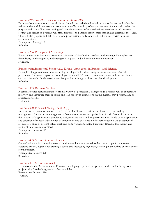#### Business/Writing 220. Business Communications. (W)

Business Communications is a workplace-oriented course designed to help students develop and refine the written and oral skills necessary to communicate effectively in professional settings. Students will review the purpose and style of business writing and complete a variety of focused writing exercises based on work settings and scenarios. Students will plan, compose, and analyze letters, memoranda, and electronic messages. They will also prepare and deliver brief oral presentations, collaborate with others, and revise business communication.

Prerequisite: Writing 101. 3 Credits.

#### Business 254. Principles of Marketing.

Focus on customer behavior, promotion, channels of distribution, product, and pricing, with emphasis on formulating marketing plans and strategies in a global and culturally diverse environment. 3 Credits.

#### Business/Environmental Science 272. Drone Applications in Business and Science.

Principles of applications of new technology in all possible fields, taking advantage of new FAA rule 107 provisions. The course explores current legislation and FAA rules, current innovation in drone use, limits of current off-the-shelf technologies, creative problem solving and business plan development. 3 Credits.

#### Business 305. Business Seminar.

A seminar course featuring speakers from a variety of professional backgrounds. Students will be expected to interview and introduce these speakers and lead follow-up discussions on the material they present. May be repeated for credit.

1.5 Credits.

#### Business 320. Financial Management. (QR)

Introduction to business finance, the role of the chief financial officer, and financial tools used by management. Emphasis on management of revenue and expenses, application of basic financial concepts to the solution of organizational problems, analysis of the short and long-term financial needs of an organization, and selection of most feasible course of action to secure best possible financial outcome and allocation of resources. Topics of present value, stock and bond valuation, capital budgeting, financial forecasting, and capital structures also examined.

Prerequisite: Business 141. 3 Credits.

#### Business 493. Senior Literature Review.

General guidance in continuing research and review literature related to the chosen topic for the senior capstone project, Support for crafting a sound and interesting argument, resulting in an outline of main points for the project.

Prerequisite: Business 390. 2 Credits.

#### Business 494. Senior Seminar I.

For seniors in the Business Major. Focus on developing a spiritual perspective on the student's capstone project using Swedenborgian and other principles. Prerequisite: Business 390. 1 Credit.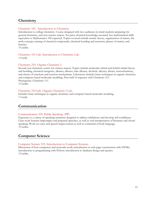### **Chemistry**

### Chemistry 101. Introduction to Chemistry.

Introduction to college chemistry. Course designed with two audiences in mind-students preparing for general chemistry, and non-science majors. No prior chemical knowledge assumed, but mathematical skills equivalent to Mathematics 100 expected. Topics covered include atomic theory, organization of matter, the mole concept, naming of chemical compounds, chemical bonding and reactions, phases of matter, and kinetics.

3 Credits.

### Chemistry 101 Lab. Introduction to Chemistry Lab.

1 Credit.

### Chemistry 210. Organic Chemistry I.

Second year chemistry course for science majors. Topics include molecular orbital and hybrid orbital theory and bonding, chemical energetics, alkanes, alkenes, halo alkanes, alcohols, alkynes, dienes, stereochemistry, and classes of reactions and reaction mechanisms. Laboratory includes basic techniques in organic chemistry and computer based molecular modeling. First half of sequence with Chemistry 211. Prerequisite: Chemistry 111. 3 Credits.

### Chemistry 210 Lab. Organic Chemistry I Lab.

Includes basic techniques in organic chemistry and computer based molecular modeling. 1 Credit.

### **Communication**

### Communication 105. Public Speaking. (PP)

Exposure to a variety of speaking situations designed to address inhibitions and develop self-confidence. Class work features impromptu and prepared speeches, as well as oral interpretation of literature and choral speaking. Work on voice and speech improvement as well as command of body language. 3 Credits.

### **Computer Science**

### Computer Science 105. Introduction to Computer Systems.

Discussion of how computers and networks work; introduction to web page construction with HTML; introduction to programming with Python; introduction to database design and queries. 3 Credits.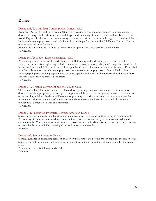### **Dance**

### Dance 131/231. Modern Contemporary Dance. (EEC)

Beginner (Dance 131) and Intermediate (Dance 231) course in contemporary modern dance. Students develop technique and body awareness, and deeper understanding of modern dance and its place in the art world. Explore the diversity and commonality of human experience and values through the medium of dance. Includes choreography projects and culminates in a public performance at the Fall Dance Concert. Course may be repeated once for credit.

Prerequisite for Dance 231: Dance 131 or instructor's permission. Also serves as a PE course. 1.5 Credits.

#### Dance 160/260/360. Dance Ensemble. (EEC)

A dance repertory course for the performing artist. Rehearsing and performing pieces choreographed by faculty and guest artists. Styles may include contemporary, jazz, hip-hop, ballet, and/or tap. Each student will be involved in several different pieces of choreography. Course culminates in public performance. Dance 260 includes collaboration on a choreography project or a solo choreography project. Dance 360 involves choreographing and teaching a group piece of choreography to the class to be performed at the end of term concert. Course may be repeated for credit. 1.5 Credits.

#### Dance 240. Creative Movement and the Young Child.

This course will explore ways in which children develop through creative movement activities based on developmentally appropriate practice. Special emphasis will be placed on integrating creative movement with other learning activities. Students will have the opportunity to work on projects that incorporate creative movement with their own areas of interest as potential teachers/caregivers. Students will also explore multicultural elements of dance and movement. 1.5 Credits.

#### Dance 241. History of Twentieth-Century American Dance.

Survey of concert dance forms (ballet, modern/contemporary, jazz/musical theatre, tap in America in the 20th century. Course includes readings, lectures, films, discussions, and analysis of individual styles and cultural trends. Course culminates in a research project on a specific dance form or choreographer, focusing on how the form or individual developed in relation to cultural trends. 3 Credits.

#### Dance 493. Senior Literature Review.

General guidance in continuing research and review literature related to the chosen topic for the senior essay. Support for crafting a sound and interesting argument, resulting in an outline of main points for the senior essay.

Prerequisite: Interdisciplinary Studies 390. 2 Credits.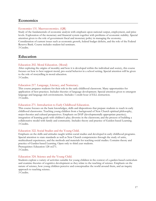### **Economics**

### Economics 131. Macroeconomics. (QR)

Study of the fundamentals of economic analysis with emphasis upon national output, employment, and price levels. Exploration of the monetary and financial system together with problems of economic stability. Special attention given to the role of government fiscal and monetary policy in managing the economy. Consideration of current issues such as economic growth, federal budget deficits, and the role of the Federal Reserve Bank. Course includes student-led seminars. 3 Credits.

### **Education**

### Education 202. Moral Education. (Moral)

After exploring the origins of morality and how it is developed within the individual and society, this course focuses on how to best support moral, pro-social behavior in a school setting. Special attention will be given to the role of storytelling in moral education.

3 Credits.

### Education 217. Language, Literacy, and Numeracy.

This course prepares students for their role in the early childhood classroom. Many opportunities for application of best practices. Includes theories of language development. Special attention given to emergent language and language-rich environments. Includes 1 credit hour of ELL instruction. 3 Credits.

### Education 271. Introduction to Early Childhood Education.

This course focuses on the basic knowledges, skills and dispositions that prepare students to teach in early childhood classrooms. Teaching young children from a background of New Church spiritual philosophy, major theories and cultural perspectives. Emphasis on DAP (developmentally appropriate practice); integration of learning goals with children's play; diversity in the classroom; and the process of building a collaborative model with family and community. Includes theory and practice of Garden-based Learning. 3 Credits.

### Education 322. Social Studies and the Young Child.

Emphasis on the skills and attitudes taught within social studies and developed in early childhood programs. Special attention to state standards as well as New Church competencies through the study of units, multicultural experiences, and the methods and materials for teaching social studies. Contains theory and practice of Garden-based Learning. Open only to third year students. Prerequisites: Education 128 or271. 3 Credits.

### Education 324. Science and the Young Child.

Students explore a variety of activities suitable for young children in the context of a garden-based curriculum and examine theories of cognitive development as they relate to the teaching of science. Emphasis on the nature of science, how young children perceive and conceptualize the world around them, and an inquiry approach to teaching science.

3 Credits.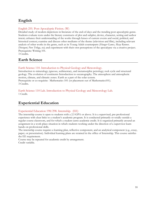### **English**

### English 255. Post-Apocalyptic Fiction. (W)

Detailed study of modern depictions in literature of the end-of-days and the trending post-apocalyptic genre. Students evaluate texts under the literary constructs of plot and subplot, device, character, setting and author intent; enhance their understanding of the works through lenses of current events and social, political, and historical context; examine and discuss other mediums of the theme (television and film), including relevant analysis of other works in the genre, such as its Young Adult counterparts (*Hunger Games, Maze Runner, Divergent, Pure Trilogy, etc)*; and experiment with their own perceptions of the apocalypse via a creative project. Prerequisite: Writing 101.

3 Credits.

### **Earth Science**

### Earth Science 110. Introduction to Physical Geology and Meteorology.

Introduction to mineralogy; igneous, sedimentary, and metamorphic petrology; rock cycle and structural geology. The evolution of continents Introduction to oceanography. The atmosphere and atmospheric motion, climate, and climatic zones. Earth as a part of the solar system. Prerequisite or co-requisite: Mathematics 101 (or placement out of Mathematics101). 3 Credits.

Earth Science 110 Lab. Introduction to Physical Geology and Meteorology Lab. 1 Credit.

### **Experiential Education**

### Experiential Education 198/298. Internship. (EE)

The internship course is open to students with a 2.5 GPA or above. It is a supervised, pre-professional experience with clear links to a student's academic program. It is conducted primarily or totally outside a regular course classroom, and for which a student earns academic credit. It is organized primarily around an assignment in a work-place situation in which students working under the direction of a supervisor learn hands-on professional skills.

The internship course requires a learning plan, reflective component, and an analytical component (e.g., essay, paper, or presentation). Individual learning plans are retained in the office of Internship. This course satisfies the EE requirement.

Course may be repeated for academic credit by arrangement. Credit variable.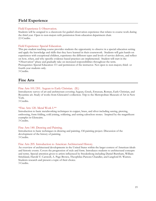### **Field Experience**

### Field Experience I: Observation.

Students will be assigned to a classroom for guided observation experience that relates to course work during the third year. Open to non-majors with permission from education department chair. 2.5 Credits.

### Field Experience: Special Education.

This pre-student teaching course provides students the opportunity to observe in a special education setting and apply the knowledge and skills that they have learned in their coursework. Students will gain hands-on experiences with exceptional children, experience the different types and levels of service delivery, and reflect on how, when, and why specific evidence-based practices are implemented. Student will start in the "Observation" phase and gradually take on increased responsibilities throughout the term. Prerequisites: Special Education 111 and permission of the instructor. Not open to non-majors; third- or fourth-year students only.

3 Credits.

### **Fine Arts**

### Fine Arts 101/201. Aegean to Early Christian. (IL)

Introductory survey of art and architecture covering Aegean, Greek, Etruscan, Roman, Early Christian, and Byzantine art. Study of works from Glencairn's collection. Trip to the Metropolitan Museum of Art in New York.

3 Credits.

### \*Fine Arts 120. Metal Work I.\*\*

Introduction to basic metalworking techniques in copper, brass, and silver including sawing, piercing, embossing, form folding, cold joining, soldering, and setting cabochon stones. Inspired by the magnificent examples in Glencairn.

3 Credits.

### Fine Arts 140. Drawing and Painting.

Introduction to basic techniques in drawing and painting. Oil painting project. Discussion of the development of the history of painting. 3 Credits.

### Fine Arts 205. Introduction to American Architectural History.

An overview of architectural developments in the United States within the larger context of American ideals and historic events. Covers the progression of style and form. Introduces students to architectural concepts and terms. Special attention given to artists influenced by Swedenborg including Daniel Burnham, William Strickland, Harold T. Carswell, A. Page Brown, Theophilus Parsons Chandler, and Langford H. Warren. Students research and present a topic of their choice. 3 Credits.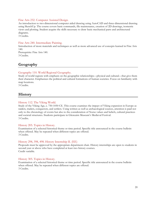### Fine Arts 232. Computer Assisted Design.

An introduction to two-dimensional computer aided drawing using AutoCAD and three-dimensional drawing using SketchUp. The course covers basic commands, file maintenance, creation of 2D drawings, isometric views and plotting. Student acquire the skills necessary to draw basic mechanical parts and architectural diagrams.

3 Credits.

#### Fine Arts 240. Intermediate Painting.

Introduction of more materials and techniques as well as more advanced use of concepts learned in Fine Arts 140. Prerequisite: Fine Arts 140. 3 Credits.

### **Geography**

### Geography 110. World Regional Geography.

Study of world regions with emphasis on the geographic relationships—physical and cultural—that give them their character. Emphasizes the political and cultural formations of human societies. Focus on familiarity with map locations.

3 Credits.

### **History**

#### History 112. The Viking World.

Study of the Viking Age, c. 750-1050 CE. This course examines the impact of Viking expansion in Europe as raiders, traders, conquerors, and settlers. Using written as well as archaeological sources, attention is paid not only to the chronology of events but also to the consideration of Norse values and beliefs, cultural practices and societal structures. Students participate in Glencairn Museum's Medieval Festival. 3 Credits.

#### History 205. Topics in History.

Examination of a selected historical theme or time period. Specific title announced in the course bulletin when offered. May be repeated when different topics are offered. 3 Credits.

#### History 298, 398, 498. History Internship II. (EE)

Proposals must be approved by the appropriate department chair. History internships are open to students in second year or above who have completed at least two history courses. Credit variable.

#### History 305. Topics in History.

Examination of a selected historical theme or time period. Specific title announced in the course bulletin when offered. May be repeated when different topics are offered. 3 Credits.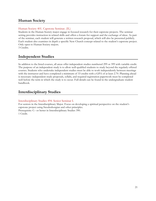### **Human Society**

### Human Society 401. Capstone Seminar. (IL)

Students in the Human Society major engage in focused research for their capstone projects. The seminar setting provides instruction in related skills and offers a forum for support and the exchange of ideas. As part of the seminar, each student will generate a written research proposal, which will also be presented publicly. Each student also examines in depth a specific New Church concept related to the student's capstone project. Only open to Human Society majors.

3 Credits.

### **Independent Studies**

In addition to the listed courses, all areas offer independent studies numbered 299 or 399 with variable credit. The purpose of an independent study is to allow well-qualified students to study beyond the regularly offered courses. Students who undertake independent studies must be able to work independently between meetings with the instructor and have completed a minimum of 33 credits with a GPA of at least 2.70. Planning ahead is necessary: independent study proposals, syllabi, and required registration paperwork must be completed well before the term in which the study is to occur. Full details can be found in the undergraduate student handbook.

### **Interdisciplinary Studies**

### Interdisciplinary Studies 494. Senior Seminar I.

For seniors in the Interdisciplinary Major. Focus on developing a spiritual perspective on the student's capstone project using Swedenborgian and other principles. Prerequisite: C– or better in Interdisciplinary Studies 390. 1 Credit.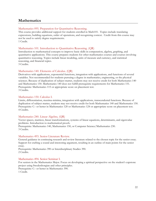### **Mathematics**

#### Mathematics 095. Preparation for Quantitative Reasoning.

This course provides additional support for students enrolled in Math101. Topics include translating expressions, building equations, order of operations, and recognizing context. Credit from this course may not be used to satisfy degree requirements. 1 Credit.

#### Mathematics 101. Introduction to Quantitative Reasoning. (QR)

Introduction to mathematical concepts to improve basic skills in computation, algebra, graphing, and quantitative applications. This course prepares students for other mathematics courses and courses involving quantitative reasoning. Topics include linear modeling, units of measure and currency, and statistical reasoning, and financial topics.

3 Credits.

#### Mathematics 140. Elements of Calculus. (QR)

Derivatives with applications, exponential functions, integration with applications, and functions of several variables. Not recommended for students pursuing a degree in mathematics, engineering, or the physical sciences. Because of duplication of subject matter, students may not receive credit for both Mathematics 140 and Mathematics 150. Mathematics 140 does not fulfill prerequisite requirements for Mathematics 151. Prerequisite: Mathematics 115 or appropriate score on placement test. 3 Credits.

#### Mathematics 150. Calculus I.

Limits, differentiation, maxima-minima, integration with applications, transcendental functions. Because of duplication of subject matter, students may not receive credit for both Mathematics 140 and Mathematics 150. Prerequisite: C– or better in Mathematics 120 or Mathematics 124 or appropriate score on placement test. 4 Credits.

#### Mathematics 240. Linear Algebra. (QR)

Vector spaces, matrices, linear transformations, systems of linear equations, determinants, and eigenvalue problems. Introduction to mathematical proofs.

Prerequisite: Mathematics 140, Mathematics 150, or Computer Science/Mathematics 230. 3 Credits.

#### Mathematics 493. Senior Literature Review.

General guidance in continuing research and review literature related to the chosen topic for the senior essay. Support for crafting a sound and interesting argument, resulting in an outline of main points for the senior essay.

Prerequisite: Mathematics 390 or Interdisciplinary Studies 390. 2 Credits.

#### Mathematics 494. Senior Seminar I.

For seniors in the Mathematics Major. Focus on developing a spiritual perspective on the student's capstone project using Swedenborgian and other principles.

Prerequisite: C– or better in Mathematics 390. 1 Credit.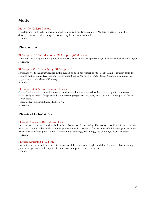### **Music**

### Music 100. College Chorale.

Development and performance of choral repertoire from Renaissance to Modern. Instruction in the development of vocal techniques. Course may be repeated for credit. 1 Credit.

### **Philosophy**

### Philosophy 102. Introduction to Philosophy. (Worldview)

Survey of some major philosophers and theories in metaphysics, epistemology, and the philosophy of religion. 3 Credits.

### Philosophy 321. Swedenborg's Philosophy II.

Swedenborg's thought upward from the human body in his "search for the soul." Main text taken from the sections on Series and Degrees and The Human Soul in *The Economy of the Animal Kingdom*, terminating in applications in *The Rational Psychology*.

3 Credits.

### Philosophy 493. Senior Literature Review.

General guidance in continuing research and review literature related to the chosen topic for the senior essay. Support for crafting a sound and interesting argument, resulting in an outline of main points for the senior essay.

Prerequisite: Interdisciplinary Studies 390. 3 Credits.

### **Physical Education**

### Physical Education 103. Life and Health.

Introduction to personal and social health problems we all face today. This course provides information that helps the student understand and investigate these health problems further. Scientific knowledge is presented from a variety of disciplines, such as, medicine, psychology, physiology, and sociology. Non-repeatable. 1 Credit.

### Physical Education 110. Tennis.

Instruction in basic and intermediate individual skills. Practice in singles and doubles tennis play, including game strategy, rules, and etiquette. Course may be repeated once for credit. 1 Credit.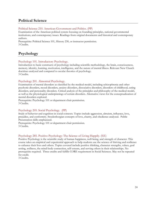### **Political Science**

### Political Science 210. American Government and Politics. (PP)

Examination of the American political system focusing on founding principles, national governmental institutions, and contemporary issues. Readings from original documents and historical and contemporary authors.

Prerequisite: Political Science 101, History 230, or instructor permission. 3 Credits.

### **Psychology**

### Psychology 101. Introductory Psychology.

Introduction to basic constructs of psychology including scientific methodology, the brain, consciousness, memory, identity, learning, motivation, intelligence, and the nature of mental illness. Relevant New Church doctrines analyzed and compared to secular theories of psychology. 3 Credits.

### Psychology 201. Abnormal Psychology.

Examination of mental disorders as classified by the medical model, including schizophrenia and other psychotic disorders, mood disorders, anxiety disorders, dissociative disorders, disorders of childhood, eating disorders, and personality disorders. Critical analysis of the principles and philosophy of the medical model, as well as the physiological underpinnings of certain disorders. Alternative views for the conceptualization of mental disorders explored.

Prerequisite: Psychology 101 or department chair permission. 3 Credits.

### Psychology 205. Social Psychology. (PP)

Study of behavior and cognition in social contexts. Topics include aggression, altruism, influence, love, prejudice, and conformity. Swedenborgian concepts of love, charity, and obedience analyzed. Public Presentation skills emphasized.

Prerequisite: Psychology 101 or department chair permission. 3 Credits.

### Psychology 285. Positive Psychology: The Science of Living Happily. (EE)

Positive Psychology is the scientific study of human happiness, well-being, and strength of character. This course takes an empirical and experiential approach to help students use the science of thriving and resilience to enhance their lives and others. Topics covered include positive thinking, character strengths, values, goal setting, wellness, the mind-body connection, self-esteem, and serving others in their relationships. No prerequisite required. Three credits and fulfills CORE requirement in Social Sciences. May not be repeated for credit.

3 Credits.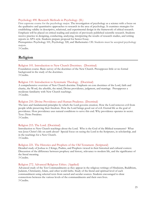#### Psychology 490. Research Methods in Psychology. (IL)

First capstone course for the psychology major. The investigation of psychology as a science with a focus on the qualitative and quantitative approaches to research in the area of psychology. It examines strategies for establishing validity in descriptive, relational, and experimental design in the framework of ethical research. Emphasis will be placed on critical reading and analysis of previously published scientific research. Students receive practice in designing, conducting, analyzing, interpreting the results of research studies, and writing reports in APA style. Students prepare proposal for Senior Essay.

Prerequisites: Psychology 101, Psychology 320, and Mathematics 130. Students must be accepted psychology majors.

3 Credits.

### **Religion**

#### Religion 101. Introduction to New Church Doctrines. (Doctrinal)

Foundation course. Basic survey of the doctrines of the New Church. Presupposes little or no formal background in the study of the doctrines.

3 Credits.

#### Religion 110. Introduction to Systematic Theology. (Doctrinal)

A comprehensive overview of New Church doctrine. Emphasis on core doctrines of the Lord, faith and charity, the Word, the afterlife, the mind, Divine providence, judgment, and marriage. Presupposes a moderate familiarity with New Church teachings. 3 Credits.

#### Religion 210. Divine Providence and Human Prudence. (Doctrinal)

The laws and fundamental principles by which the Lord governs creation. How the Lord removes evil from people while preserving their freedom. How the Lord brings good out of evil. Eternal life as the goal of providence. How providence uses natural conditions to serve this end. Why providence operates in secret. Text: *Divine Providence*.

3 Credits.

#### Religion 215. The Lord. (Doctrinal)

Introduction to New Church teachings about the Lord. Who is the God of the Biblical testaments? What was Jesus Christ's life on earth about? Special focus on seeing the Lord in the Scriptures, in scholarship, and in the teachings for a New Church.

### 3 Credits.

#### Religion 221. The Histories and Prophets of the Old Testament. (Scriptural)

Detailed study of Joshua to 2 Kings, Psalms, and Prophets viewed in their historical and cultural context. Discussion of the difference between prophesy and history, relevance to modern life, and the significance of the literal meaning.

3 Credits.

#### Religion 272. Advanced Religious Ethics. (Applied)

Advanced study of the Ten Commandments as they appear in the religious writings of Hinduism, Buddhism, Judaism, Christianity, Islam, and other world faiths. Study of the literal and spiritual level of each commandment using selected texts from sacred and secular sources. Students encouraged to draw connections between the various levels of the commandments and their own lives. 3 Credits.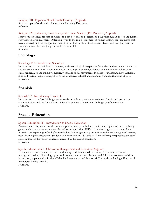Religion 301. Topics in New Church Theology (Applied). Selected topic of study with a focus on the Heavenly Doctrines. 3 Credits.

Religion 320. Judgment, Providence, and Human Society. (PP, Doctrinal, Applied)

Study of the spiritual process of judgment, both personal and societal, and the roles human choice and Divine Providence play in judgment. Attention given to the role of judgment in human history, the judgments that have occurred, and the changes judgment brings. The books of the Heavenly Doctrines Last Judgment and Continuation of the Last Judgment will be read in full. 3 Credits.

**Sociology**

### Sociology 110. Introductory Sociology.

Introduction to the discipline of sociology and a sociological perspective for understanding human behaviors and the structure of human societies. Discussions apply a sociological perspective to topics such as social class, gender, race and ethnicity, culture, work, and social movements in order to understand how individual lives and social groups are shaped by social structures, cultural understandings and distributions of power. 3 Credits.

### **Spanish**

### Spanish 101. Introductory Spanish I.

Introduction to the Spanish language for students without previous experience. Emphasis is placed on communication and the foundations of Spanish grammar. Spanish is the language of instruction. 3 Credits.

### **Special Education**

### Special Education 111. Introduction to Special Education.

An overview of key concepts, theories and practices of special education. Course begins with a role-playing game in which students learn about the milestone legislation, IDEA. Attention is given to the social and historical underpinnings of today's special education programming, as well as to the various types of learning needs in any given classroom. Students will learn to view "disabilities" from differing perspectives and gain appreciation for the variety of needs expressed in the human condition. 3 Credits.

### Special Education 331. Classroom Management and Behavioral Support.

Examination of what it means to lead and manage a differentiated classroom. Addresses classroom management skills of fostering a positive learning environment; planning and delivering assessment-driven instruction; implementing Positive Behavior Intervention and Support (PBIS); and conducting a Functional Behavioral Analysis (FBA).

3 Credits.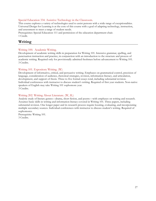### Special Education 334. Assistive Technology in the Classroom.

This course explores a variety of technologies used to assist persons with a wide range of exceptionalities. Universal Design for Learning is at the core of this course with a goal of adapting technology, instruction, and assessment to meet a range of student needs.

Prerequisites: Special Education 111 and permission of the education department chair. 1 Credit.

### **Writing**

### Writing 100. Academic Writing.

Development of academic writing skills in preparation for Writing 101. Intensive grammar, spelling, and punctuation instruction and practice, in conjunction with an introduction to the structure and process of academic writing. Required only for provisionally admitted freshmen before advancement to Writing 101. 3 Credits.

### Writing 101. Expository Writing. (W)

Development of informative, critical, and persuasive writing. Emphases on grammatical control, precision of language, consideration of audience, rhetorical strategies, revision, information literacy, and articulation, development, and support of thesis. Three to five formal essays total, including substantial revision. Individual conferences with instructor to discuss student's writing. Required of first year students. Non-native speakers of English may take Writing 101 sophomore year. 3 Credits.

### Writing 202. Writing About Literature. (W, IL)

Analytic study of literary genres—drama, short fiction, and poetry—with emphases on writing and research. Assumes basic skills in writing and information literacy covered in Writing 101. Three papers, including substantial revision. One longer paper and its research process require locating, evaluating, and incorporating multiple secondary sources. Individual conferences with instructor to discuss student's writing. Required of sophomores.

Prerequisite: Writing 101. 3 Credits.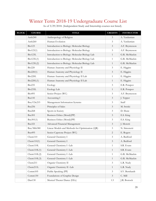## Winter Term 2018-19 Undergraduate Course List<br>As of 3/29/2018. (Independent Study and Internship courses not listed).

| <b>BLOCK</b> | <b>COURSE</b>       | <b>TITLE</b>                                    | <b>CREDITS</b> | <b>INSTRUCTOR</b> |
|--------------|---------------------|-------------------------------------------------|----------------|-------------------|
|              | Anth <sub>240</sub> | Anthropology of Religion                        | 3              | A. Yardumian      |
|              | Anth <sub>260</sub> | Human Evolution                                 | 3              | A. Yardumian      |
|              | <b>Bio123</b>       | Introduction to Biology: Molecular Biology      | 3              | A.F. Bryntesson   |
|              | Bio123(1)           | Introduction to Biology: Molecular Biology      | 3              | A.F. Bryntesson   |
|              | Bio123L             | Introduction to Biology: Molecular Biology Lab  | $\mathbf{1}$   | G.R. McMackin     |
|              | Bio123L(1)          | Introduction to Biology: Molecular Biology Lab  | $\mathbf{1}$   | G.R. McMackin     |
|              | Bio123L(2)          | Introduction to Biology: Molecular Biology Lab  | $\mathbf{1}$   | G.R. McMackin     |
|              | <b>Bio220</b>       | Human Anatomy and Physiology II                 | 3              | E. Higgins        |
|              | Bio220(1)           | Human Anatomy and Physiology II                 | 3              | E. Higgins        |
|              | Bio220L             | Human Anatomy and Physiology II Lab             | $\mathbf{1}$   | E. Higgins        |
|              | Bio220L(1)          | Human Anatomy and Physiology II Lab             | $\mathbf{1}$   | E. Higgins        |
|              | Bio235              | Ecology                                         | 3              | E.R. Potapov      |
|              | Bio235L             | Ecology Lab                                     | $\mathbf{1}$   | E.R. Potapov      |
|              | <b>Bio495</b>       | Senior Project (WC)                             | 3              | A.F. Bryntesson   |
|              | <b>Bus141</b>       | Accounting I                                    | 3              | J. Tepper         |
|              | Bus/CSc215          | Management Information Systems                  | 3              | Staff             |
|              | Bus256              | Principles of Sales                             | 3              | M. Swiski         |
|              | <b>Bus268</b>       | Sports in Society                               | 3              | D. Shute          |
|              | Bus301              | Business Ethics (Moral)(PP)                     | 3              | E.S. King         |
|              | Bus301(1)           | Business Ethics (Moral)(PP)                     | 3              | E.S. King         |
|              | <b>Bus321</b>       | Advanced Financial Management                   | 3              | J. Moretti        |
|              | Bus/Mth380          | Linear Models and Methods for Optimization (QR) | 3              | N. Simonetti      |
|              | <b>Bus495</b>       | Senior Capstone Project (WC)                    | 2              | E. Rogers         |
|              | Chem110             | General Chemistry I                             | 3              | A. Bedford        |
|              | Chem $110(1)$       | General Chemistry I                             | 3              | A. Bedford        |
|              | Chem10L             | General Chemistry I -Lab                        | 1              | S.R. Evans        |
|              | Chem10L(1)          | General Chemistry I -Lab                        | $\mathbf{1}$   | S.R. Evans        |
|              | Chem10L(2)          | General Chemistry I -Lab                        | $\mathbf{1}$   | G.R. McMackin     |
|              | Chem10L(3)          | General Chemistry I -Lab                        | $\mathbf{1}$   | G.R. McMackin     |
|              | Chem211             | Organic Chemistry II                            | 3              | L.R. Nudy         |
|              | Chem211L            | Organic Chemistry II -Lab                       | $\mathbf{1}$   | L.R. Nudy         |
|              | Comm105             | Public Speaking (PP)                            | 3              | S.V. Bernhardt    |
|              | Comm130             | Foundations of Graphic Design                   | $\mathfrak{Z}$ | C. Mill           |
|              | Dan130              | Musical Theater Dance (EEc)                     | 1.5            | J.R. Bostock      |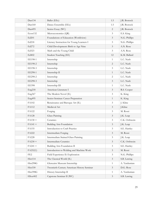| Dan134          | Ballet (EEc)                               | 1.5            | J.R. Bostock  |
|-----------------|--------------------------------------------|----------------|---------------|
| Dan160          | Dance Ensemble (EEc)                       | 1.5            | J.R. Bostock  |
| Dan495          | Senior Essay (WC)                          | 2              | J.R. Bostock  |
| Econ132         | Microeconomics (QR)                        | $\mathfrak{Z}$ | E.S. King     |
| Ed201           | Foundations of Education (Worldview)       | $\mathfrak{Z}$ | N.G. Phillips |
| Ed218           | Literacy Instruction for Young Learners I  | $\mathfrak{Z}$ | N.G. Phillips |
| Ed272           | Child Development: Birth to Age Nine       | $\mathfrak{Z}$ | A.N. Rose     |
| Ed323           | Math and the Young Child                   | 3              | A.N. Rose     |
| Ed402           | Student Teaching (EE)                      | 12             | K.M. Ballard  |
| EE198-1         | Internship                                 | 1              | L.C. Nash     |
| EE198-2         | Internship                                 | 2              | L.C. Nash     |
| EE198-3         | Internship                                 | 3              | L.C. Nash     |
| EE298-1         | Internship II                              | $\mathbf{1}$   | L.C. Nash     |
| EE298-2         | Internship                                 | 2              | L.C. Nash     |
| EE298-3         | Internship                                 | $\mathfrak{Z}$ | L.C. Nash     |
| <b>EE398</b>    | Internship III                             | 1              | L.C. Nash     |
| Eng218          | American Literature I                      | $\mathfrak{Z}$ | R.S. Cooper   |
| Eng367          | The Modern Novel (IL)                      | $\mathfrak{Z}$ | K. King       |
| Eng495          | Senior Seminar: Career Preparation         | $\mathbf{1}$   | K. King       |
| FA102           | Renaissance and Baroque Art (IL)           | 3              | J. Kline      |
| FA112           | Medieval Art                               | 3              | J.Kline       |
| FA122           | Forging                                    | $\mathfrak{Z}$ | M. Rossi      |
| <b>FA128</b>    | Glass Painting                             | 3              | J.K. Leap     |
| $FA130 +$       | Ceramics                                   | $\mathfrak{Z}$ | C.K. Orthwein |
| $FA141 +$       | <b>Building Arts Foundation</b>            | $\mathfrak{Z}$ | J.K. Leap     |
| <b>FA155</b>    | Introduction to Craft Practice             | 3              | S.E. Hartley  |
| <b>FA222</b>    | Intermediate Forging                       | 3              | M. Rossi      |
| <b>FA228</b>    | Intermediate Stained Glass Painting        | 3              | J.K. Leap     |
| $FA230 +$       | Intermediate Ceramics                      | $\mathfrak{Z}$ | C.K. Orthwein |
| $FA241 +$       | Building Arts Foundation II                | 3              | S.E. Hartley  |
| FA252(1)        | Introduction to Welding and Machine Work   | $\mathfrak{Z}$ | M. Rossi      |
| FE <sub>2</sub> | Field Experience II: Exploration           | 3              | N.G. Phillips |
| Hist114         | The Classical World (IL)                   | $\mathfrak{Z}$ | S.B. Lawing   |
| Hist298G        | Glencairn Museum Internship                | $\mathbf{1}$   | A. Yardumian  |
| Hist330         | Twentieth-Century American History Seminar | $\mathfrak{Z}$ | D.G. Rose     |
| Hist398G        | History Internship II                      | $\mathbf{1}$   | A. Yardumian  |
| HSoc402         | Capstone Seminar II (WC)                   | $\mathfrak{Z}$ | S.B. Lawing   |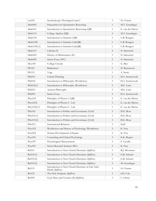| Lat250               | Swedenborg's Theological Latin I                                   | $\mathfrak{Z}$ | S.I. Frazier     |
|----------------------|--------------------------------------------------------------------|----------------|------------------|
| Math095              | Preparation for Quantitative Reasoning                             | $\mathbf{1}$   | M.T. Genzlinger  |
| Math101              | Introduction to Quantitative Reasoning (QR)                        | $\mathfrak{Z}$ | E. van der Merwe |
| Math115              | College Algebra (QR)                                               | $\mathfrak{Z}$ | M.T. Genzlinger  |
| Math130              | Introduction to Statistics (QR)                                    | 3              | C.B. Bongers     |
| Math130L             | Introduction to Statistics Lab(QR)                                 | $\mathbf{1}$   | C.B. Bongers     |
| Math130L(1)          | Introduction to Statistics Lab(QR)                                 | $\mathbf{1}$   | C.B. Bongers     |
| Math151              | Calculus II                                                        | $\overline{4}$ | N. Simonetti     |
| Math205              | History of Mathematics (IL)                                        | 3              | N. Simonetti     |
| Math495              | Senior Essay (WC)                                                  | $\overline{c}$ | N. Simonetti     |
| Mus100               | College Chorale                                                    | $\mathbf{1}$   | G. Bier          |
| <b>PE129</b>         | Badminton                                                          | $\mathbf{1}$   | H. Bryntesson    |
| <b>PE133</b>         | Yoga                                                               | $\mathbf{1}$   | A. Irwin         |
| Phil101              | Critical Thinking                                                  | $\mathfrak{Z}$ | D.A. Synnestvedt |
| Phil102              | Introduction to Philosophy (Worldview)                             | $\mathfrak{Z}$ | D.A. Synnestvedt |
| Phil $102(1)$        | Introduction to Philosophy (Worldview)                             | $\mathfrak{Z}$ | M.E. Latta       |
| Phil210              | Ancient Philosophy                                                 | $\mathfrak{Z}$ | M.E. Latta       |
| Phil495              | Senior Essay                                                       | $\overline{3}$ | D.A. Synnestvedt |
| Phys210              | Principles of Physics I (QR)                                       | 3              | E. van der Merwe |
| Phys210L             | Principles of Physics I - Lab                                      | $\mathbf{1}$   | E. van der Merwe |
| Phys210L(1)          | Principles of Physics I - Lab                                      | $\mathbf{1}$   | E. van der Merwe |
| PSci101              | Introduction to Politics and Governance (Civil)                    | $\mathfrak{Z}$ | D.G. Rose        |
| PSci101(1)           | Introduction to Politics and Governance (Civil)                    | $\mathfrak{Z}$ | D.G. Rose        |
| PSci101(2)           | Introduction to Politics and Governance (Civil)                    | $\mathfrak{Z}$ | D.G. Rose        |
| PSci212              | <b>International Relations</b>                                     | 3              | Staff            |
| Psyc102              | Worldviews and History of Psychology (Worldview)                   | $\mathfrak{Z}$ | K. Frey          |
| P <sub>svc</sub> 204 | Human Development: Lifespan                                        | 3              | K. Frey          |
| Psyc301              | Counseling and Clinical Psychology                                 | $\mathfrak{Z}$ | K.K. Rogers      |
| Psyc307              | Psychological Measurement                                          | $\mathfrak{Z}$ | F. Cavallo       |
| Psyc491              | Senior Research Seminar (WC)                                       | $\mathfrak{Z}$ | K. Frey          |
| <b>Rel101</b>        | Introduction to New Church Doctrines (SpDoc)                       | 3              | R.J. Silverman   |
| Rel101(1)            | Introduction to New Church Doctrines (SpDoc)                       | $\mathfrak{Z}$ | G.R. Schnarr     |
| Rel101(2)            | Introduction to New Church Doctrines (SpDoc)                       | 3              | G.R. Schnarr     |
| Rel101(3)            | Introduction to New Church Doctrines (SpDoc)                       | $\mathfrak{Z}$ | M. Genzlinger    |
| Rel115               | Introduction to New Church Doctrine on Life After<br>Death (SpDoc) | $\mathfrak{Z}$ | S.I. Frazier     |
| Rel125               | The Holy Scripture (SpDoc)                                         | $\mathfrak{Z}$ | S.D. Cole        |
| Rel205               | God, Man, and Creation (IL)(SpDoc)                                 | $\mathfrak{Z}$ | C. Glenn         |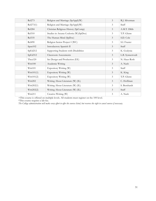| Rel273        | Religion and Marriage (SpAppl)(W)      | 3              | R.J. Silverman   |
|---------------|----------------------------------------|----------------|------------------|
| Rel273(1)     | Religion and Marriage (SpAppl)(W)      | 3              | Staff            |
| <b>Rel284</b> | Christian Religious History (SpComp)   | 3              | A.M.T. Dibb      |
| Rel310        | Studies in Arcana Coelestia (W)(SpDoc) | 3              | T.P. Glenn       |
| Rel335        | The Human Mind (SpDoc)                 | $\mathfrak{Z}$ | S.D. Cole        |
| <b>Rel490</b> | Religion Senior Project I (WC)         | 3              | S.I. Frazier     |
| Span102       | Introductory Spanish II                | 3              | Staff            |
| SpEd212       | Supporting Students with Disabilities  | 3              | K. Godynia       |
| SpEd312       | Classroom Assessments                  | 3              | L.B. Synnestvedt |
| Thea120       | Set Design and Production (EE)         | 3              | N. Haus-Roth     |
| Writ100       | Academic Writing                       | 3              | A. Nash          |
| Writ101       | Expository Writing (W)                 | 3              | Staff            |
| Writ101(1)    | Expository Writing (W)                 | 3              | K. King          |
| Writ101(2)    | Expository Writing (W)                 | 3              | T.P. Glenn       |
| Writ202       | Writing About Literature (W) (IL)      | 3              | C. Hoffman       |
| Writ202(1)    | Writing About Literature (W) (IL)      | 3              | S. Bernhardt     |
| Write02(2)    | Writing About Literature (W) (IL)      | 3              | Staff            |
| Writ211       | Creative Writing (W)                   | $\mathfrak{Z}$ | A. Nash          |

+This course is offered on multiple levels. All students must register on the 100 level.

\*This course requires a lab fee.

*The College administration will make every effort to offer the courses listed, but reserves the right to cancel courses if necessary.*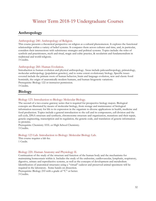### Winter Term 2018-19 Undergraduate Courses

### **Anthropology**

### Anthropology 240. Anthropology of Religion.

This course presents a theoretical perspective on religion as a cultural phenomenon. It explores the functional relationships within a variety of belief systems. It compares them across cultures and time, and, in particular, considers their intersections with subsistence strategies and political systems. Topics include: the roles of symbols and practitioners, myth and ritual, magic and cultic practice, & secularism and fundamentalism in traditional and world religions.

3 Credits.

### Anthropology 260. Human Evolution.

Introduction to human evolution and physical anthropology. Areas include paleoanthropology, primatology, molecular anthropology (population genetics), and to some extent evolutionary biology. Specific issues covered include the primate roots of human behavior, brain and language evolution, new and classic fossil hominids, the origin of anatomically modern humans, and human biogenetic variations. Prerequisite: Biology 122 or instructor permission. 3 Credits.

### **Biology**

### Biology 123. Introduction to Biology: Molecular Biology.

The second of a two-course gateway series that is required for prospective biology majors. Biological concepts are illustrated by means of molecular biology, from storage and maintenance of biological information necessary for life to its expression in the organism to diverse applications in health, medicine and food production. Topics include a general introduction to the cell and its components, cell division and the cell cycle, DNA structure and synthesis, chromosome structure and organization, mutations and their repair, genetic engineering, transcription and its regulation, the genetic code, and translation of genetic information to proteins.

Prerequisite: Chemistry 101L or High School Chemistry. 3 Credits.

#### Biology 123 Lab. Introduction to Biology: Molecular Biology Lab.

This course requires a lab fee. 1 Credit.

### Biology 220. Human Anatomy and Physiology II.

Continuation of the study of the structure and function of the human body and the mechanisms for maintaining homeostasis within it. Includes the study of the endocrine, cardiovascular, lymphatic, respiratory, digestive, urinary and reproductive systems, as well as the concepts of development and metabolism. Identification of anatomical structures using a "virtual" cadaver and preserved animal specimens will be required in the laboratory. Some hands-on dissection.

Prerequisite: Biology 210 with a grade of "C" or better. 3 Credits.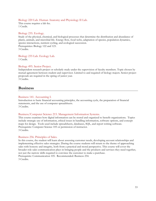### Biology 220 Lab. Human Anatomy and Physiology II Lab.

This course requires a lab fee. 1 Credit.

#### Biology 235. Ecology.

Study of the physical, chemical, and biological processes that determine the distribution and abundance of plants, animals, and microbial life. Energy flow, food webs, adaptation of species, population dynamics, species interactions, nutrient cycling, and ecological succession. Prerequisites: Biology 122 and 123. 3 Credits.

### Biology 235 Lab. Ecology Lab.

1 Credit.

#### Biology 495. Senior Project.

Independent research project or scholarly study under the supervision of faculty members. Topic chosen by mutual agreement between student and supervisor. Limited to and required of biology majors. Senior project proposals are required in the spring of junior year. 3 Credits.

### **Business**

#### Business 141. Accounting I.

Introduction to basic financial accounting principles, the accounting cycle, the preparation of financial statements, and the use of computer spreadsheets. 3 Credits.

### Business/Computer Science 215. Management Information Systems.

This course examines how digital information can be stored and organized to benefit organizations. Topics include strategic use of information, ethical issues in handling information, software options, and concept maps for design. Tools used include spreadsheets, databases, SQL, and report writing software. Prerequisite: Computer Science 105 or permission of instructor. 3 Credits.

#### Business 256. Principles of Sales.

In this course, the student will learn about assessing customer needs, developing account relationships and implementing effective sales strategies. During the course students will return to the theme of approaching sales with honesty and integrity, both from a practical and moral perspective. This course will cover the broader role sales communication plays in bringing people and the products and services they need together, not just the narrow skills required to convince the customer to make a purchase. Prerequisite: Communication 105. Recommended: Business 254.

3 Credits.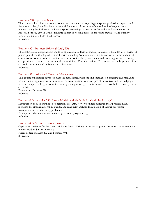#### Business 268. Sports in Society.

This course will explore the connections among amateur sports, collegiate sports, professional sports, and American society; including how sports and American culture have influenced each other, and how understanding this influence can impact sports marketing. Issues of gender and race discrimination in American sports, as well as the economic impact of hosting professional sports franchises and publicly funded stadiums, will also be discussed. 3 Credits.

Business 301. Business Ethics. (Moral, PP)

The analysis of moral principles and their application to decision making in business. Includes an overview of philosophical and theological ethical theories, including New Church ethics. Major focus on the analysis of ethical concerns in actual case studies from business, involving issues such as downsizing, whistle-blowing, competition vs. cooperation, and social responsibility. Communication 105 or any other public presentation course is recommended before taking this course. 3 Credits.

### Business 321. Advanced Financial Management.

This course will explore advanced financial management with specific emphasis on assessing and managing risk, including: applications for insurance and securitization, various types of derivatives and the hedging of risk, the unique challenges associated with operating in foreign countries, and tools available to manage these extra risks.

Prerequisite: Business 320. 3 Credits.

#### Business/Mathematics 380. Linear Models and Methods for Optimization. (QR)

Introduction to basic methods of operations research. Review of linear systems; linear programming, including the simplex algorithm, duality, and sensitivity analysis; formulation of integer programs; transportation and scheduling problems.

Prerequisite: Mathematics 240 and competence in programming. 3 Credits.

#### Business 495. Senior Capstone Project.

Capstone experience for the Interdisciplinary Major. Writing of the senior project based on the research and outline produced in Business 493.

Prerequisites: Business 493 and Business 494. 2 Credits.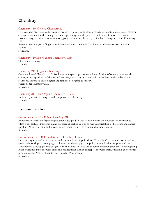### **Chemistry**

### Chemistry 110. General Chemistry I.

First year chemistry course for science majors. Topics include atomic structure, quantum mechanics, electron configuration, chemical bonding, molecular geometry, and the periodic table, classifications of matter, stoichiometry, and reactions in solution, gases, and thermochemistry. First half of sequence with Chemistry 111.

Prerequisite: One year of high school chemistry with a grade of C or better or Chemistry 101 or Earth Science 110.

3 Credits.

### Chemistry 110 Lab. General Chemistry I Lab.

This course requires a lab fee. 1 Credit.

### Chemistry 211. Organic Chemistry II.

Continuation of Chemistry 210. Topics include spectrophotometric identification of organic compounds, arenes, esters, epoxides, aldehydes and ketones, carboxylic acids and acid derivatives, and condensation reactions. Emphasis on biological applications of organic chemistry. Prerequisite: Chemistry 210. 3 Credits.

### Chemistry 211 Lab. Organic Chemistry II Lab.

Includes synthetic techniques and computational chemistry. 1 Credit.

### **Communication**

### Communication 105. Public Speaking. (PP)

Exposure to a variety of speaking situations designed to address inhibitions and develop self-confidence. Class work features impromptu and prepared speeches, as well as oral interpretation of literature and choral speaking. Work on voice and speech improvement as well as command of body language. 3 Credits.

### Communication 130. Foundations of Graphic Design.

Introductory study of how to create and communicate graphic ideas effectively. Covers elements of design, spatial relationships, typography, and imagery as they apply to graphic communication for print and web. Students will develop graphic design skills (the ability to solve visual communication problems) by integrating Adobe Creative Suite software skills and foundational design concepts. Software instruction in basics of such programs as InDesign, Illustrator and possibly Photoshop. 3 Credits.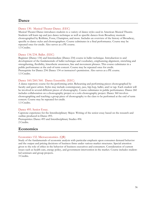### **Dance**

### Dance 130. Musical Theater Dance. (EEC)

Musical Theater Dance introduces students to a variety of dance styles used in American Musical Theatre. Students will learn tap and jazz dance technique as well as specific dances from Broadway musicals choreographed by Robbins, Fosse, Champion, and more. Includes an overview of the history of Broadway, specific to dance styles and choreographers. Course culminates in a final performance. Course may be repeated once for credit. Also serves as a PE course. 1.5 Credits.

### Dance 134/234. Ballet. (EEC)

Beginner (Dance 134) and Intermediate (Dance 234) course in ballet technique. Introduction to and development of the fundamentals of ballet technique and vocabulary, emphasizing alignment, stretching and strengthening, flexibility, kinesthetic awareness, line and movement phrases. This course culminates in a public performance at the end-of-term concert. Course may be repeated once for credit. Prerequisite for Dance 234: Dance 134 or instructor's permission. Also serves as a PE course. 1.5 Credits.

### Dance 160/260/360. Dance Ensemble. (EEC)

A dance repertory course for the performing artist. Rehearsing and performing pieces choreographed by faculty and guest artists. Styles may include contemporary, jazz, hip-hop, ballet, and/or tap. Each student will be involved in several different pieces of choreography. Course culminates in public performance. Dance 260 includes collaboration on a choreography project or a solo choreography project. Dance 360 involves choreographing and teaching a group piece of choreography to the class to be performed at the end of term concert. Course may be repeated for credit.

1.5 Credits.

### Dance 495. Senior Essay.

Capstone experience for the Interdisciplinary Major. Writing of the senior essay based on the research and outline produced in Dance 493. Prerequisites: Dance 493 and Interdisciplinary Studies 494.

2 Credits.

### **Economics**

### Economics 132. Microeconomics. (QR)

Study of the fundamentals of economic analysis with particular emphasis upon consumer demand behavior and the output and pricing decisions of business firms under various market structures. Special attention given to the role of ethics in the behavior of business executives and consumers. Consideration of current issues such as health care, energy policy, and government intervention in the market. Course includes studentled seminars and group projects.

3 Credits.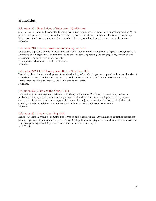### **Education**

#### Education 201. Foundations of Education. (Worldviews)

Study of world views and associated theories that impact education. Examination of questions such as: What is the nature of reality? How do we know what we know? How do we determine what is worth knowing? What is of value? Focus on how a New Church philosophy of education affects teachers and students. 3 Credits.

#### Education 218. Literacy Instruction for Young Learners I.

This course exposes students to theory and practice in literacy instruction, pre-kindergarten through grade 4. Emphasis on emergent literacy, techniques and skills of teaching reading and language arts, evaluation and assessment. Includes 1 credit hour of ELL.

Prerequisite: Education 128 or Education 217. 3 Credits.

#### Education 272. Child Development: Birth - Nine Year Olds.

Teachings about human development from the theology of Swedenborg are compared with major theories of child development. Emphasis on the sensory needs of early childhood and how to create a nurturing environment for physical, mental, and socio-emotional health. 3 Credits.

#### Education 323. Math and the Young Child.

Exploration of the content and methods of teaching mathematics Pre-K to 4th grade. Emphasis on a problem-solving approach to the teaching of math within the context of a developmentally appropriate curriculum. Students learn how to engage children in the subject through imaginative, musical, rhythmic, athletic, and artistic activities. This course is about how to teach math so it makes sense. 3 Credits.

#### Education 402. Student Teaching. (EE)

Includes at least 12 weeks of combined observation and teaching in an early childhood education classroom setting, supervised by a teacher from Bryn Athyn College Education Department and by a classroom teacher in the cooperating school. Open only to seniors in the education major. 3-12 Credits.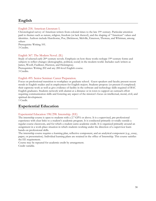### **English**

#### English 218. American Literature I.

Chronological survey of American writers from colonial times to the late 19th century. Particular attention paid to themes such as nature, religion, freedom (or lack thereof), and the shaping of "American" values and identities. Authors include Hawthorne, Poe, Dickinson, Melville, Emerson, Thoreau, and Whitman, among others

Prerequisite: Writing 101. 3 Credits.

#### English 367. The Modern Novel. (IL)

Study of selected early 20<sup>th</sup>-century novels. Emphasis on how these works reshape 19<sup>th</sup>-century forms and subjects to reflect changes (demographic, political, social) in the modern world. Includes such writers as James, Woolf, Faulkner, Hurston, and Hemingway.

Prerequisites: Writing 202 and any 200-level English course. 3 Credits.

#### English 495. Senior Seminar: Career Preparation.

Focus on professional transition to workplace or graduate school. Guest speakers and faculty present recent trends in English studies and in employment for English majors. Students propose (or present if completed) their capstone work as well as give evidence of facility in the software and technology skills required of BAC English graduates. Students network with alumni at a distance or in town to support an outreach effort requiring communication skills and fostering any aspect of the mission's focus on intellectual, moral, civil, and spiritual development.

1 Credit.

### **Experiential Education**

#### Experiential Education 198/298. Internship. (EE)

The internship course is open to students with a 2.7 GPA or above. It is a supervised, pre-professional experience with clear links to a student's academic program. It is conducted primarily or totally outside a regular course classroom, and for which a student earns academic credit. It is organized primarily around an assignment in a work-place situation in which students working under the direction of a supervisor learn hands-on professional skills.

The internship course requires a learning plan, reflective component, and an analytical component (e.g., essay, paper, or presentation). Individual learning plans are retained in the office of Internship. This course satisfies the EE requirement.

Course may be repeated for academic credit by arrangement. Credit variable.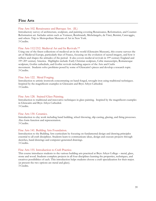### **Fine Arts**

#### Fine Arts 102. Renaissance and Baroque Art. (IL)

Introductory survey of architecture, sculpture, and painting covering Renaissance, Reformation, and Counter-Reformation art. Includes artists such as Vermeer, Rembrandt, Michelangelo, da Vinci, Bernini, Caravaggio, and others. Trip to Metropolitan Museum of Art in New York. 3 Credits.

#### Fine Arts 112/212. Medieval Art and Its Revivals.\*\*

Using one of the finest collections of medieval art in the world (Glencairn Museum), this course surveys the art of Medieval Europe, particularly that of France, focusing on the evolution of sacred imagery, and how it reflects and shapes the attitudes of the period. It also covers medieval revivals in 19th-century England and 19th-20th century America. Highlights include: Early Christian sculpture, Celtic manuscripts, Romanesque sculpture, Gothic cathedrals, and Gothic revivals including aspects of the Arts and Crafts movement. Students solve problems posed by some of Glencairn's pieces and develop a research topic. 3 Credits.

#### Fine Arts 122. Metal Forging.

Introduction to artistic ironwork concentrating on hand-forged, wrought iron using traditional techniques. Inspired by the magnificent examples in Glencairn and Bryn Athyn Cathedral. 3 Credits.

#### Fine Arts 128. Stained Glass Painting.

Introduction to traditional and innovative techniques in glass painting. Inspired by the magnificent examples in Glencairn and Bryn Athyn Cathedral. 3 Credits.

#### Fine Arts 130. Ceramics.

Introduction to clay work including hand building, wheel throwing, slip casting, glazing, and firing processes. Also form function and representation. 3 Credits.

#### Fine Arts 141. Building Arts Foundation.

Introduction to the Building Arts curriculum by focusing on fundamental design and drawing principles essential to all craft disciplines. Students learn to communicate ideas, design and execute projects through sketches, hand drawings and computer-generated drawings. 3 Credits.

#### Fine Arts 155. Introduction to Craft Practice.

This course introduces students to the various building arts practiced at Bryn Athyn College – metal, glass, stone and wood. Students complete projects in all four disciplines learning the properties, techniques, and creatives possibilities of each. This introduction helps students choose a craft specialization for their major. (at present the two options are metal and glass). 3 Credits.

39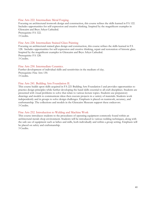#### Fine Arts 222. Intermediate Metal Forging.

Focusing on architectural ironwork design and construction, this course refines the skills learned in FA 122. Includes opportunities for self-expression and creative thinking. Inspired by the magnificent examples in Glencairn and Bryn Athyn Cathedral.

Prerequisite: FA 122. 3 Credits.

#### Fine Arts 228. Intermediate Stained Glass Painting

Focusing on architectural stained glass design and construction, this course refines the skills learned in FA 128. Includes opportunities for self-expression and creative thinking, repair and restoration of historic glass. Inspired by the magnificent examples in Glencairn and Bryn Athyn Cathedral. Prerequisite: FA 128. 3 Credits.

#### Fine Arts 230. Intermediate Ceramics.

Further development of individual skills and sensitivities in the medium of clay. Prerequisite: Fine Arts 130. 3 Credits.

#### Fine Arts 241. Building Arts Foundation II.

This course builds upon skills acquired in FA 221 Building Arts Foundation I and provides opportunities to practice design principles while further developing the hand skills essential to all craft disciplines. Students are presented with visual problems to solve that relate to various lecture topics. Students use preparatory drawings and models to communicate ideas then execute projects in a variety of materials. Students work independently and in groups to solve design challenges. Emphasis is placed on teamwork, accuracy, and craftsmanship. The collections and models in the Glencairn Museum support these endeavors. 3 Credits.

#### Fine Arts 252. Introduction to Welding and Machine Work

This course introduces students to the procedures of operating equipment commonly found within an architectural metals shop environment. Students will be introduced to various welding techniques, along with the safe use of equipment such as lathes and mills, both individually and within a group setting. Emphasis will be placed on safety and craftsmanship.

3 Credits.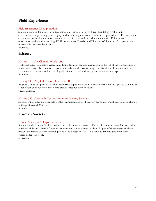### **Field Experience**

#### Field Experience II: Exploration.

Students work under a classroom teacher's supervision tutoring children, facilitating small group conversations, supervising outdoor play, and monitoring classroom routines and procedures. FE II is taken in conjunction with all winter term courses of the third year and provides students with 120 hours of observation and practice teaching. FE II occurs every Tuesday and Thursday of the term. Not open to nonmajors; third-year students only.

3 Credits.

### **History**

#### History 114. The Classical World. (IL)

Historical survey of ancient Greece and Rome from Mycenaean civilization to the fall of the Roman Empire in the west. Particular attention to political trends and the role of religion in Greek and Roman societies. Examination of textual and archaeological evidence. Guided development of a research paper. 3 Credits.

#### History 298, 398, 498. History Internship II. (EE)

Proposals must be approved by the appropriate department chair. History internships are open to students in second year or above who have completed at least two history courses. Credit variable.

#### History 330. Twentieth-Century American History Seminar.

Selected topics affecting twentieth-century American society. Focus on economic, social, and political change in the post-World War II era. 3 Credits.

### **Human Society**

#### Human Society 402. Capstone Seminar II.

Students in the Human Society major write their capstone projects. The seminar setting provides instruction in related skills and offers a forum for support and the exchange of ideas. As part of the seminar, students present the results of their research publicly and design posters. Only open to Human Society majors. Prerequisite: HSoc 401.

3 Credits.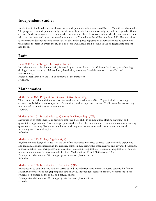### **Independent Studies**

In addition to the listed courses, all areas offer independent studies numbered 299 or 399 with variable credit. The purpose of an independent study is to allow well-qualified students to study beyond the regularly offered courses. Students who undertake independent studies must be able to work independently between meetings with the instructor and have completed a minimum of 33 credits with a GPA of at least 2.70. Planning ahead is necessary: independent study proposals, syllabi, and required registration paperwork must be completed well before the term in which the study is to occur. Full details can be found in the undergraduate student handbook.

### **Latin**

#### Latin 250. Swedenborg's Theological Latin I.

Intensive review of Beginning Latin, followed by varied readings in the Writings. Various styles of writing distinguished (expository, philosophical, descriptive, narrative). Special attention to non-Classical constructions.

Prerequisites: Latin 110 and 111 or approval of the instructor. 3 Credits.

### **Mathematics**

#### Mathematics 095. Preparation for Quantitative Reasoning.

This course provides additional support for students enrolled in Math101. Topics include translating expressions, building equations, order of operations, and recognizing context. Credit from this course may not be used to satisfy degree requirements.

1 Credit.

#### Mathematics 101. Introduction to Quantitative Reasoning. (QR)

Introduction to mathematical concepts to improve basic skills in computation, algebra, graphing, and quantitative applications. This course prepares students for other mathematics courses and courses involving quantitative reasoning. Topics include linear modeling, units of measure and currency, and statistical reasoning, and financial topics.

3 Credits.

#### Mathematics 115. College Algebra. (QR)

Algebraic topics designed to assist in the use of mathematics in science courses. Topics include exponents and radicals, rational expressions, inequalities, complex numbers, polynomial analysis and advanced factoring, rational functions and asymptotes, and quantitative reasoning applications. Because of duplication of subject matter, students may not receive credit for both Mathematics 115 and Mathematics 120. Prerequisite: Mathematics 101 or appropriate score on placement test. 3 Credits.

#### Mathematics 130. Introduction to Statistics. (QR)

Introduction to data analysis, random variables and their distributions, correlation, and statistical inference. Statistical software used for graphing and data analysis. Independent research project. Recommended for students of business or the social and natural sciences.

Prerequisite: Mathematics 101 or appropriate score on placement test. 4 Credits.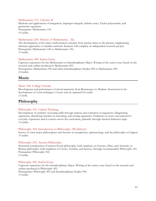#### Mathematics 151. Calculus II.

Methods and applications of integration, improper integrals, infinite series, Taylor polynomials, and parametric equations. Prerequisite: Mathematics 150. 4 Credits.

#### Mathematics 205. History of Mathematics. (IL)

The development of the major mathematical concepts from ancient times to the present, emphasizing alternate approaches to familiar methods. Students will complete an independent research project. Prerequisite: Mathematics 140 or Mathematics 150. 3 Credits.

#### Mathematics 495. Senior Essay.

Capstone experience for the Mathematics or Interdisciplinary Major. Writing of the senior essay based on the research and outline produced in Mathematics 493.

Prerequisites: Mathematics 493 and either Interdisciplinary Studies 494 or Mathematics 494. 2 Credits.

### **Music**

#### Music 100. College Chorale.

Development and performance of choral repertoire from Renaissance to Modern. Instruction in the development of vocal techniques. Course may be repeated for credit. 1 Credit.

### **Philosophy**

#### Philosophy 101. Critical Thinking.

Development of students' reasoning skills through analysis and evaluation of arguments. Diagraming arguments, identifying mistakes in reasoning, and writing arguments. Emphasis on issues encountered in everyday experience and in courses across the curriculum, primarily through classical deductive logic. 3 Credits.

#### Philosophy 102. Introduction to Philosophy. (Worldview)

Survey of some major philosophers and theories in metaphysics, epistemology, and the philosophy of religion. 3 Credits.

#### Philosophy 210. Ancient Philosophy.

Historical consideration of ancient Greek philosophy (with emphasis on Socrates, Plato, and Aristotle) or Roman philosophy (with emphasis on Cicero, Aurelius, and Seneca). Strongly recommended: Philosophy 101. Prerequisite: Philosophy 102.

3 Credits.

#### Philosophy 495. Senior Essay.

Capstone experience for the Interdisciplinary Major. Writing of the senior essay based on the research and outline produced in Philosophy 493.

Prerequisites: Philosophy 493 and Interdisciplinary Studies 494. 3 Credits.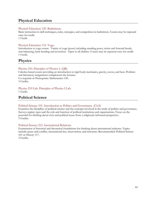### **Physical Education**

#### Physical Education 129. Badminton.

Basic instruction in skill techniques, rules, strategies, and competition in badminton. Course may be repeated once for credit.

1 Credit.

#### Physical Education 133. Yoga.

Introduction to yoga course. Variety of yoga (poses) including standing poses, twists and forward bends, arm-balancing, back bending and inversions. Open to all abilities. Course may be repeated once for credit. 1 Credit.

### **Physics**

#### Physics 210. Principles of Physics I. (QR)

Calculus-based course providing an introduction to rigid body mechanics, gravity, waves, and heat. Problem and laboratory assignments complement the lectures. Co-requisite or Prerequisite: Mathematics 150. 3 Credits.

#### Physics 210 Lab. Principles of Physics I Lab.

1 Credit.

### **Political Science**

#### Political Science 101. Introduction to Politics and Governance. (Civil)

Examines the discipline of political science and the concepts involved in the study of politics and governance. Surveys regime types and the role and function of political institutions and organizations. Focus on the potential for thinking about civic and political issues from a religiously-informed perspective. 3 Credits.

#### Political Science 212. International Relations.

Examination of historical and theoretical foundations for thinking about international relations. Topics include: peace and conflict, international law, intervention, and terrorism. Recommended: Political Science 101 or History 117.

3 Credits.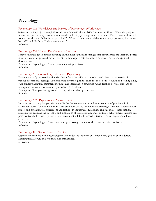### **Psychology**

#### Psychology 102. Worldviews and History of Psychology. (Worldview)

Survey of six major psychological worldviews. Analysis of worldviews in terms of their history, key people, main concepts, and major contributions to the field of psychology in modern times. Three themes addressed for each worldview: "What is the good life?", "What remedies are available when things go wrong for human beings?", and "Is this a Theistic worldview?"

3 Credits.

#### Psychology 204. Human Development: Lifespan.

Study of human development, focusing on the most significant changes that occur across the lifespan. Topics include theories of physical-motor, cognitive, language, creative, social, emotional, moral, and spiritual development.

Prerequisite: Psychology 101 or department chair permission. 3 Credits.

#### Psychology 301. Counseling and Clinical Psychology.

Examination of psychological theories that inform the skills of counselors and clinical psychologists in various professional settings. Topics include psychological theories, the roles of the counselor, listening skills, case conceptualization, treatment methods and intervention strategies. Consideration of what it means to incorporate individual values and spirituality into treatment.

Prerequisite: Two psychology courses or department chair permission. 3 Credits.

#### Psychology 307. Psychological Measurement.

Introduction to the principles that underlie the development, use, and interpretation of psychological assessment tools. Topics include: Test construction, survey development, scoring, assessment interpretation issues, and psychological assessment applications in industrial, educational, clinical, and research setting. Students will examine the potential and limitations of tests of intelligence, aptitude, achievement, interest, and personality. Additionally, psychological assessment will be discussed in terms of social, legal, and ethical concerns.

Prerequisite: Psychology 101 and two other psychology courses, or department chair permission. 3 Credits.

#### Psychology 491. Senior Research Seminar.

Capstone for seniors in the psychology major. Independent work on Senior Essay guided by an advisor. Information Literacy and Writing Skills emphasized. 3 Credits.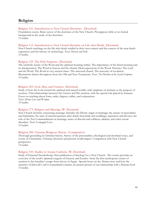### **Religion**

#### Religion 101. Introduction to New Church Doctrines. (Doctrinal)

Foundation course. Basic survey of the doctrines of the New Church. Presupposes little or no formal background in the study of the doctrines. 3 Credits.

#### Religion 115. Introduction to New Church Doctrine on Life after Death. (Doctrinal)

New Church teachings on the life after death studied in their own context and the context of the near-death experience and the history of eschatology. Text: *Heaven and Hell.* 3 Credits.

#### Religion 125. The Holy Scripture. (Doctrinal)

The symbolic nature of the Word and the spiritual meaning within. The importance of the literal meaning and its interpretation. The Word in heaven and the church. Dual expressions in the Word. Heresies. The Lord and the Word. The Word in very ancient times. The universal church. The necessity of revelation. Illustrations drawn throughout from the Old and New Testaments. Text: *The Doctrine of the Sacred Scripture*. 3 Credits.

#### Religion 205. God, Man, and Creation. (Doctrinal)

Study of how the Lord created the spiritual and natural worlds, with emphasis on humans as the purpose of creation. Vital relationships between the Creator and His creation, with the special role played by humans. Focus on teaching about form, order, degrees, influx, and conjunction. Text: *Divine Love and Wisdom*. 3 Credits.

#### Religion 273. Religion and Marriage (W. Doctrinal)

New Church doctrine concerning marriage. Includes the Divine origin of marriage; the nature of masculinity and femininity; the state of married partners after death; betrothals and weddings; separation and divorce; the role of the Ten Commandments in marriage; states of discord and coldness; adultery and other sexual disorders. Text: Conjugial Love. 3 Credits.

### Religion 284. Christian Religious History. (Comparative)

Thorough grounding in Christian history. Survey of the personalities, theological and doctrinal issues, and events of Christianity. Christian divisions and present world-impact. Comparison with New Church perspective.

3 Credits.

#### Religion 310. Studies in Arcana Coelestia. (W, Doctrinal)

Study of Emanuel Swedenborg's first publication of theology for a New Church. The course provides an overview of the work's spiritual exegesis of Genesis and Exodus--from the first mythopoeic stories of creation to the Israelites' escape from slavery in Egypt. Special focus on the Abram story and how the narrative of Jehovah's call to humankind contains an ancient picture of our relationship with a Human God. 3 Credits.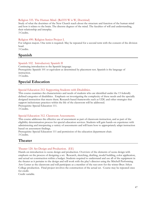#### Religion 335. The Human Mind. (Rel335 W is W, Doctrinal)

Study of what the doctrines of the New Church teach about the structure and function of the human mind and how it relates to the brain. The discrete degrees of the mind. The faculties of will and understanding, their relationship and interplay.

3 Credits.

#### Religion 490. Religion Senior Project I.

For religion majors. One term is required. May be repeated for a second term with the consent of the division head.

3 Credits.

### **Spanish**

#### Spanish 102. Introductory Spanish II

Continuing introduction to the Spanish language. Prerequisite: Spanish 101 or equivalent as determined by placement test. Spanish is the language of instruction. 3 Credits.

### **Special Education**

#### Special Education 212. Supporting Students with Disabilities.

This course examines the characteristics and needs of students who are identified under the 13 federally defined categories of disabilities. Emphasis on investigating the complexity of these needs and the specially designed instruction that meets them. Research-based frameworks such as UDL and other strategies that support inclusionary practices within the life of the classroom will be addressed.

Prerequisite: Special Education 111.

3 Credits.

#### Special Education 312. Classroom Assessments.

This course addresses the effective use of assessment as part of classroom instruction, and as part of the eligibility determination process for special education services. Students will gain hands-on experience with administering and interpreting a variety of assessments and will learn how to appropriately adapt instruction based on assessment findings.

Prerequisite: Special Education 111 and permission of the education department chair. 3 Credits.

### **Theater**

#### Theater 120. Set Design and Production. (EE)

Hands-on introduction to scene design and production. Overview of the elements of scene design with emphasis on the process of designing a set. Research, sketching, drafting, model building, color application, and actual set construction within a budget. Students required to understand and use all of the equipment in the theater as it pertains to the design and will work with the play's director using the Mitchell Performing Arts Center as the classroom and will participate as a member of the run-crew for the winter Bryn Athyn College production. Final project involves the construction of the actual set. Course may be repeated once for credit.

Credit variable.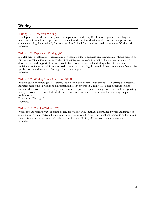### **Writing**

#### Writing 100. Academic Writing.

Development of academic writing skills in preparation for Writing 101. Intensive grammar, spelling, and punctuation instruction and practice, in conjunction with an introduction to the structure and process of academic writing. Required only for provisionally admitted freshmen before advancement to Writing 101. 3 Credits.

#### Writing 101. Expository Writing. (W)

Development of informative, critical, and persuasive writing. Emphases on grammatical control, precision of language, consideration of audience, rhetorical strategies, revision, information literacy, and articulation, development, and support of thesis. Three to five formal essays total, including substantial revision. Individual conferences with instructor to discuss student's writing. Required of first year students. Non-native speakers of English may take Writing 101 sophomore year. 3 Credits.

#### Writing 202. Writing About Literature. (W, IL)

Analytic study of literary genres—drama, short fiction, and poetry—with emphases on writing and research. Assumes basic skills in writing and information literacy covered in Writing 101. Three papers, including substantial revision. One longer paper and its research process require locating, evaluating, and incorporating multiple secondary sources. Individual conferences with instructor to discuss student's writing. Required of sophomores.

Prerequisite: Writing 101. 3 Credits.

#### Writing 211. Creative Writing. (W)

Workshop approach to various forms of creative writing, with emphasis determined by year and instructor. Students explore and recreate the defining qualities of selected genres. Individual conference in addition to inclass instruction and workshops. Grade of B- or better in Writing 101 or permission of instructor. 3 Credits.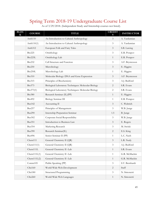# Spring Term 2018-19 Undergraduate Course List<br>As of 3/29/2018. (Independent Study and Internship courses not listed).

| <b>BLOC</b><br>Κ | <b>COURSE</b>  | <b>TITLE</b>                                        | <b>CREDIT</b><br>S | <b>INSTRUCTOR</b> |
|------------------|----------------|-----------------------------------------------------|--------------------|-------------------|
|                  | Anth110        | An Introduction to Cultural Anthropology            | $\mathfrak{Z}$     | A. Yardumian      |
|                  | Anth $110(1)$  | An Introduction to Cultural Anthropology            | 3                  | A. Yardumian      |
|                  | Anth312        | European Folk and Fairy Tales                       | $\mathfrak{Z}$     | S.B. Lawing       |
|                  | <b>Bio225</b>  | Ornithology                                         | $\mathfrak{Z}$     | E.R. Potapov      |
|                  | Bio225L        | Ornithology Lab                                     | 1                  | E.R. Potapov      |
|                  | <b>Bio232</b>  | Cell Structure and Function                         | 3                  | A.F. Bryntesson   |
|                  | <b>Bio250</b>  | Microbiology                                        | $\mathfrak{Z}$     | E. Higgins        |
|                  | Bio250L        | Microbiology Lab                                    | 1                  | E. Higgins        |
|                  | <b>Bio310</b>  | Molecular Biology: DNA and Gene Expression          | $\mathfrak{Z}$     | A.F. Bryntesson   |
|                  | <b>Bio315</b>  | Principles of Biochemistry                          | $\mathfrak{Z}$     | A.J. Bedford      |
|                  | Bio373         | Biological Laboratory Techniques: Molecular Biology | 2                  | S.R. Evans        |
|                  | Bio373(1)      | Biological Laboratory Techniques: Molecular Biology | $\overline{2}$     | S.R. Evans        |
|                  | <b>Bio380</b>  | Research Seminar (IL)(PP)                           | 1                  | E. Higgins        |
|                  | <b>Bio492</b>  | Biology Seminar III                                 | 1                  | E.R. Potapov      |
|                  | <b>Bus142</b>  | Accounting II                                       | $\mathfrak{Z}$     | C. Waltrich       |
|                  | Bus257         | Principles of Management                            | 3                  | W.B. Junge        |
|                  | <b>Bus290</b>  | Internship Preparation Seminar                      | 1.5                | B. Junge          |
|                  | <b>Bus302</b>  | Corporate Social Responsibility                     | $\mathfrak{Z}$     | W.B. Junge        |
|                  | <b>Bus351</b>  | Introduction to Business Law                        | $\mathfrak{Z}$     | E. Rogers         |
|                  | <b>Bus354</b>  | Marketing Research                                  | $\mathfrak{Z}$     | M. Swiski         |
|                  | <b>Bus390</b>  | Research Seminar(IL)                                | $\overline{c}$     | E.S. King         |
|                  | <b>Bus496</b>  | Senior Seminar II (PP)                              | $\mathbf{1}$       | L.C. Nash         |
|                  | Chem111        | General Chemistry II (QR)                           | $\mathfrak{Z}$     | L.R. Nudy         |
|                  | Chem $11(1)$   | General Chemistry II (QR)                           | $\mathfrak{Z}$     | A.J. Bedford      |
|                  | Chem111L       | General Chemistry II -Lab                           | $\mathbf{1}$       | S.R. Evans        |
|                  | Chem111L(1)    | General Chemistry II -Lab                           | $\mathbf{1}$       | G.R. McMackin     |
|                  | Chem $111L(2)$ | General Chemistry II -Lab                           | $\mathbf{1}$       | G.R. McMackin     |
|                  | Comm105        | Public Speaking (PP)                                | $\mathfrak{Z}$     | S.V. Bernhardt    |
|                  | CSci160        | World Wide Web Development                          | $\overline{2}$     | Staff             |
|                  | CSci180        | Structured Programming                              | $\mathfrak{Z}$     | N. Simonetti      |
|                  | CSci260        | World Wide Web Languages                            | $\mathbf{1}$       | N. Simonetti      |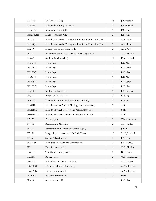| Dan133       | Tap Dance (EEc)                                          | 1.5            | J.R. Bostock    |
|--------------|----------------------------------------------------------|----------------|-----------------|
| Dan499       | Independent Study in Dance                               | 3              | J.R. Bostock    |
| Econ132      | Microeconomics (QR)                                      | $\mathfrak{Z}$ | E.S. King       |
| Econ132(1)   | Microeconomics (QR)                                      | 3              | E.S. King       |
| Ed128        | Introduction to the Theory and Practice of Education(PP) | $\mathfrak{Z}$ | A.N. Rose       |
| Ed128(1)     | Introduction to the Theory and Practice of Education(PP) | $\mathfrak{Z}$ | A.N. Rose       |
| Ed219        | Literacy for Young Learners II                           | $\mathfrak{Z}$ | A.N. Rose       |
| Ed274        | Adolescent Growth and Development: Ages 8-18             | 3              | N.G. Phillips   |
| Ed402        | Student Teaching (EE)                                    | 12             | K.M. Ballard    |
| EE198-1      | Internship                                               | 1              | L.C. Nash       |
| EE198-2      | Internship                                               | 2              | L.C. Nash       |
| EE198-3      | Internship                                               | $\mathfrak{Z}$ | L.C. Nash       |
| EE298-1      | Internship II                                            | $\mathbf{1}$   | L.C. Nash       |
| EE298-2      | Internship                                               | $\overline{c}$ | L.C. Nash       |
| EE298-3      | Internship                                               | 3              | L.C. Nash       |
| Eng105       | Madness in Literature                                    | $\mathfrak{Z}$ | R.S. Cooper     |
| Eng219       | American Literature II                                   | $\mathfrak{Z}$ | K. King         |
| Eng370       | Twentieth Century Authors (after 1950) (W)               | $\mathfrak{Z}$ | K. King         |
| ESci110      | Introduction to Physical Geology and Meteorology         | 3              | Staff           |
| ESci110L     | Intro to Physical Geology and Meteorology Lab            | $\mathbf{1}$   | Staff           |
| ESci110L(1)  | Intro to Physical Geology and Meteorology Lab            | $\mathbf{1}$   | Staff           |
| FA125        | Photography                                              | $\mathfrak{Z}$ | C.K. Orthwein   |
| FA151        | Architectural Modeling                                   | 3              | S.E. Hartley    |
| FA210        | Nineteenth and Twentieth Centuries (IL)                  | 3              | J. Kline        |
| FA251        | Integrating Art into a Child's Early Years               | 1.5            | M. Gyllenhaal   |
| <b>FA258</b> | <b>Stained Glass Survey</b>                              | $\mathfrak{Z}$ | J.K. Leap       |
| FA/Hist271   | Introduction to Historic Preservation                    | $\mathfrak{Z}$ | S.E. Hartley    |
| FE3          | Field Experience III                                     | $\mathfrak{Z}$ | N.G. Phillips   |
| Hist117      | The Contemporary World                                   | $\mathfrak{Z}$ | D.G. Rose       |
| Hist240      | Ancient Israel                                           | $\mathfrak{Z}$ | W.E. Closterman |
| Hist276      | Barbarians and the Fall of Rome                          | $\mathfrak{Z}$ | S.B. Lawing     |
| Hist298G     | Glencairn Museum Internship                              | $\mathbf{1}$   | A. Yardumian    |
| Hist398G     | History Internship II                                    | 1              | A. Yardumian    |
| ID390(1)     | Research Seminar (IL)                                    | $\overline{2}$ | Staff           |
| ID496        | Senior Seminar II                                        | $\mathbf{1}$   | L.C. Nash       |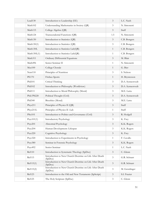| Lead130                 | Introduction to Leadership (EE)                                    | $\mathfrak{Z}$ | L.C. Nash        |
|-------------------------|--------------------------------------------------------------------|----------------|------------------|
| Math102                 | Understanding Mathematics in Society (QR)                          | 3              | N. Simonetti     |
| Math115                 | College Algebra (QR)                                               | $\mathfrak{Z}$ | Staff            |
| Math124                 | Transcendental Functions (QR)                                      | 1.5            | N. Simonetti     |
| Math130                 | Introduction to Statistics (QR)                                    | $\mathfrak{Z}$ | C.B. Bongers     |
| Math130(1)              | Introduction to Statistics (QR)                                    | $\mathfrak{Z}$ | C.B. Bongers     |
| Math130L                | Introduction to Statistics Lab(QR)                                 | $\mathbf{1}$   | C.B. Bongers     |
| Math130L(1)             | Introduction to Statistics Lab(QR)                                 | 1              | C.B. Bongers     |
| Math311                 | Ordinary Differential Equations                                    | $\mathfrak{Z}$ | M. Blair         |
| Math496                 | Senior Seminar II                                                  | $\mathbf{1}$   | N. Simonetti     |
| Mus100                  | College Chorale                                                    | $\mathbf{1}$   | G. Bier          |
| Nutr110                 | Principles of Nutrition                                            | 3              | S. Nelson        |
| <b>PE170</b>            | Frisbee Sports                                                     | $\mathbf{1}$   | H. Bryntesson    |
| Phil101                 | Critical Thinking                                                  | $\mathfrak{Z}$ | D.A. Synnestvedt |
| Phil102                 | Introduction to Philosophy (Worldview)                             | $\mathfrak{Z}$ | D.A. Synnestvedt |
| Phil111                 | Introduction to Moral Philosophy (Moral)                           | $\mathfrak{Z}$ | M.E. Latta       |
| Phil/PS220              | Political Thought (Civil)                                          | 3              | D.A. Synnestvedt |
| Phil <sub>340</sub>     | Bioethics (Moral)                                                  | $\mathfrak{Z}$ | M.E. Latta       |
| Phys211                 | Principles of Physics II (QR)                                      | $\mathfrak{Z}$ | Staff            |
| Phys211L                | Principles of Physics II -Lab                                      | $\mathbf{1}$   | Staff            |
| PSci101                 | Introduction to Politics and Governance (Civil)                    | $\mathfrak{Z}$ | R. Hodgell       |
| P <sub>syc</sub> 101(1) | <b>Introductory Psychology</b>                                     | 3              | K. Frey          |
| Psyc201                 | Abnormal Psychology                                                | $\mathfrak{Z}$ | K.K. Rogers      |
| Psyc204                 | Human Development: Lifespan                                        | 3              | K.K. Rogers      |
| Psyc220                 | Cognitive Psychology                                               | 3              | K. Frey          |
| Psyc320                 | Introduction to Experiments in Psychology                          | $\mathbf{1}$   | F. Cavallo       |
| Psyc380                 | Seminar in Forensic Psychology                                     | $\mathfrak{Z}$ | K.K. Rogers      |
| Psyc492                 | Senior Seminar                                                     | $\mathbf{1}$   | L.C. Nash        |
| <b>Rel110</b>           | Introduction to Systematic Theology (SpDoc)                        | 3              | C. Glenn         |
| <b>Rel115</b>           | Introduction to New Church Doctrine on Life After Death<br>(SpDoc) | 3              | G.R. Schnarr     |
| Rel115(1)               | Introduction to New Church Doctrine on Life After Death<br>(SpDoc) | 3              | G.R. Schnarr     |
| Rel115(2)               | Introduction to New Church Doctrine on Life After Death<br>(SpDoc) | $\mathfrak{Z}$ | M. Genzlinger    |
| Rel123                  | Introduction to the Old and New Testaments (SpScript)              | $\mathfrak{Z}$ | S.I. Frazier     |
| Rel125                  | The Holy Scripture (SpDoc)                                         | $\mathfrak{Z}$ | C. Glenn         |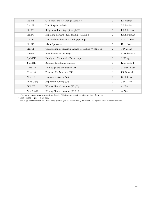| <b>Rel205</b> | God, Man, and Creation (IL)(SpDoc)                       | $\overline{3}$ | S.I. Frazier    |
|---------------|----------------------------------------------------------|----------------|-----------------|
| Rel222        | The Gospels (SpScript)                                   | 3              | S.I. Frazier    |
| Rel273        | Religion and Marriage (SpAppl)(W)                        | $\mathfrak{Z}$ | R.J. Silverman  |
| Rel278        | Exploring Romantic Relationships (SpAppl)                | $\mathfrak{Z}$ | R.J. Silverman  |
| <b>Rel285</b> | The Modern Christian Church (SpComp)                     | $\mathfrak{Z}$ | A.M.T. Dibb     |
| Rel295        | Islam (SpComp)                                           | 3              | D.G. Rose       |
| Rel311        | Continuation of Studies in Arcana Coelestioa (W) (SpDoc) | $\mathfrak{Z}$ | T.P. Glenn      |
| Soc110        | Introduction to Sociology                                | 3              | S. Anderson III |
| SpEd213       | Family and Community Partnership                         | $\mathfrak{Z}$ | S. Wong         |
| SpEd313       | Research-based Interventions                             | 3              | K.M. Ballard    |
| Thea130       | Set Design and Production (EE)                           | 3              | N. Haus-Roth    |
| Thea150       | Dramatic Performance (EEc)                               | $\mathfrak{Z}$ | J.R. Bostock    |
| Writ101       | Expository Writing (W)                                   | $\mathfrak{Z}$ | C. Hoffman      |
| Writ101(1)    | Expository Writing (W)                                   | $\overline{3}$ | T.P. Glenn      |
| Writ202       | Writing About Literature (W) (IL)                        | 3              | A. Nash         |
| Writ202(1)    | Writing About Literature (W) (IL)                        | $\mathfrak{Z}$ | A. Nash         |

+This course is offered on multiple levels. All students must register on the 100 level.

\*This course requires a lab fee.

*The College administration will make every effort to offer the courses listed, but reserves the right to cancel courses if necessary.*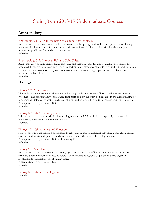### Spring Term 2018-19 Undergraduate Courses

### **Anthropology**

#### Anthropology 110. An Introduction to Cultural Anthropology.

Introduction to the theories and methods of cultural anthropology, and to the concept of culture. Though not a world cultures course, focuses on the basic institutions of culture such as ritual, technology, and progress as predicates for modern human society. 3 Credits.

#### Anthropology 312. European Folk and Fairy Tales.

An investigation of European folk and fairy tales and their relevance for understanding the societies that produced them. Provides a survey of major collections and introduces students to critical approaches to folk literature. Consideration of Hollywood adaptations and the continuing impact of folk and fairy tales on modern popular culture.

3 Credits.

### **Biology**

#### Biology 225. Ornithology.

The study of the morphology, physiology and ecology of diverse groups of birds. Includes classification, systematics and biogeography of bird taxa. Emphasis on how the study of birds aids in the understanding of fundamental biological concepts, such as evolution; and how adaptive radiation shapes form and function. Prerequisites: Biology 122 and 123.

3 Credits.

#### Biology 225 Lab. Ornithology Lab.

Laboratory exercises and field trips introducing fundamental field techniques, especially those used in biodiversity surveys and experimental studies. 1 Credit.

#### Biology 232. Cell Structure and Function.

Study of the structure-function relationship in cells. Illustration of molecular principles upon which cellular structure and function depend. Foundation course for all other molecular biology courses. Prerequisites: Biology 122 and 123 and Chemistry 110. 3 Credits.

#### Biology 250. Microbiology.

Introduction to the morphology, physiology, genetics, and ecology of bacteria and fungi, as well as the structure and replication of viruses. Overview of microorganisms, with emphasis on those organisms involved in the natural history of human disease. Prerequisites: Biology 122 and 123. 3 Credits.

Biology 250 Lab. Microbiology Lab. 1 Credit.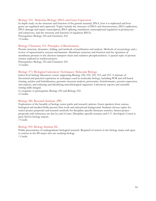#### Biology 310. Molecular Biology: DNA and Gene Expression.

In depth study on the structure and function of the genetic material, DNA, how it is replicated and how genes are regulated and expressed. Topics include the structure of DNA and chromosomes, DNA replication, DNA damage and repair, transcription, RNA splicing, translation, transcriptional regulation in prokaryotes and eukaryotes, and the structure and function of regulatory RNAs. Prerequisites: Biology 230 and Chemistry 210. 3 Credits.

#### Biology/Chemistry 315. Principles of Biochemistry.

Protein structure, dynamics, folding, and methods of purification and analysis. Methods of enzymology and a review of representative enzyme mechanisms. Membrane structure and function and the operation of membrane proteins in the electron transport chain and oxidative phosphorylation. A special topic of protein science explored in student projects.

Prerequisites: Biology 232 and Chemistry 210. 3 Credits.

#### Biology 373. Biological Laboratory Techniques: Molecular Biology.

Junior level biology laboratory course supporting Biology 230, 232, 310, 315, and 355. A mixture of theoretical and practical experience in techniques used in molecular biology, including PCR and cell-based cloning, nucleic acid hybridization, genomic structure analysis, proteomics, bioinformatics, protein expression and analysis, and culturing and identifying microbiological organisms. Laboratory reports and scientific writing skills integral.

Co-requisite or prerequisite: Biology 230 and Biology 232. 2 Credits.

#### Biology 380. Research Seminar. (PP)

Exploration of the breadth of biology career paths and research options. Guest speakers from various biological and medical fields present their work and educational background. Students choose topics for senior project proposals and research methods for discipline specific literature searches. Senior project proposals with references are due by end of term. Discipline-specific resumes and C.V. developed. Course is pass/fail for biology majors.

1 Credit.

#### Biology 492. Biology Seminar III.

Public presentation of undergraduate biological research. Required of seniors in the biology major and open to seniors in the ID major who are studying biology. 1 Credit.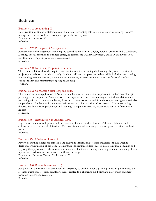### **Business**

#### Business 142. Accounting II.

Interpretation of financial statements and the use of accounting information as a tool for making business management decisions. Use of computer spreadsheets emphasized. Prerequisite: Business 141. 3 Credits.

#### Business 257. Principles of Management.

Fundamentals of management including the contributions of F.W. Taylor, Peter F. Drucker, and W. Edwards Deming. Special attention to business ethics, leadership, the Quality Movement, and ISO Teamwork 9000 certification. Group projects, business seminars. 3 Credits.

#### Business 290. Internship Preparation Seminar.

This course will introduce the requirements for internships, including the learning plan, journal entries, final projects, and relation to academic study. Students will learn employment related skills including: networking, interviewing, resume creation, attendance requirements, professional appearance, professional conduct, confidentiality, and maintaining ongoing relationships. 1 Credit.

#### Business 302. Corporate Social Responsibility.

This course includes application of New Church/Swedenborgian ethical responsibility in business strategic planning and management. Particular focus on corporate leaders who are using an ethical worldview when partnering with government regulators, donating to non-profits through foundations, or managing sustainable supply chains. Students will strengthen their teamwork skills in various class projects. Ethical reasoning theories are drawn from psychology and theology to explain the socially responsible actions of corporate leaders.

3 Credits.

#### Business 351. Introduction to Business Law.

Legal enforcement of obligations and the function of law in modern business. The establishment and enforcement of contractual obligations. The establishment of an agency relationship and its effect on third parties.

3 Credits.

#### Business 354. Marketing Research.

Review of methodologies for gathering and analyzing information to guide management in marketing decisions. Formulation of problem statements, identification of data sources, data collection, demining and applying the appropriate analysis technique, creation of actionable management reports understanding of how reports are used to make decisions and influence strategy.

Prerequisite: Business 254 and Mathematics 130. 3 Credits.

#### Business 390. Research Seminar. (IL)

For juniors in the Business Major. Focus on preparing to do the senior capstone project. Explore topics and research questions. Research scholarly sources related to a chosen topic. Formulate draft thesis statement based on interest and research.

2 Credits.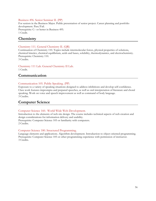#### Business 496. Senior Seminar II. (PP)

For seniors in the Business Major. Public presentation of senior project. Career planning and portfolio development. Pass/Fail. Prerequisite: C– or better in Business 495. 1 Credit.

### **Chemistry**

#### Chemistry 111. General Chemistry II. (QR)

Continuation of Chemistry 110. Topics include intermolecular forces, physical properties of solutions, chemical kinetics, chemical equilibrium, acids and bases, solubility, thermodynamics, and electrochemistry. Prerequisite: Chemistry 110. 3 Credits.

### Chemistry 111 Lab. General Chemistry II Lab.

1 Credit.

### **Communication**

#### Communication 105. Public Speaking. (PP)

Exposure to a variety of speaking situations designed to address inhibitions and develop self-confidence. Class work features impromptu and prepared speeches, as well as oral interpretation of literature and choral speaking. Work on voice and speech improvement as well as command of body language. 3 Credits.

### **Computer Science**

#### Computer Science 160. World Wide Web Development.

Introduction to the elements of web site design. The course includes technical aspects of web creation and design considerations for information delivery and usability.

Prerequisite: Computer Science 105 or familiarity with computers. 2 Credits.

#### Computer Science 180. Structured Programming.

Language elements and applications. Algorithm development. Introduction to object-oriented programming. Prerequisite: Computer Science 105 or other programming experience with permission of instructor. 3 Credits.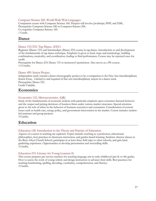#### Computer Science 260. World Wide Web Languages.

Companion course with Computer Science 160. Projects will involve JavaScript, PHP, and XML. Prerequisite: Computer Science 180 or Computer Science 206. Co-requisite: Computer Science 160. 1 Credit.

### **Dance**

#### Dance 133/233. Tap Dance. (EEC)

Beginner (Dance 133) and Intermediate (Dance 233) course in tap dance. Introduction to and development of the fundamentals of tap dance technique. Emphasis is given to basic steps and terminology, building combinations, musicality, and coordination, leading to final performance. Course may be repeated once for credit.

Prerequisite for Dance 233: Dance 133 or instructor's permission. Also serves as a PE course. 1.5 Credits.

#### Dance 499. Senior Project.

Independent study toward a dance choreography project to be a companion to the Fine Arts Interdisciplinary Senior Essay. Limited to and required of fine arts interdisciplinary majors in a dance track. Prerequisite: Dance 332. Credit Variable.

### **Economics**

#### Economics 132. Microeconomics. (QR)

Study of the fundamentals of economic analysis with particular emphasis upon consumer demand behavior and the output and pricing decisions of business firms under various market structures. Special attention given to the role of ethics in the behavior of business executives and consumers. Consideration of current issues such as health care, energy policy, and government intervention in the market. Course includes studentled seminars and group projects.

3 Credits.

### **Education**

#### Education 128. Introduction to the Theory and Practice of Education.

Aspects of a career in teaching are explored. Topics include: teaching as a profession, educational philosophies, best practices in classroom instruction, and garden-based learning. Students observe classes at the Bryn Athyn Church School, participate in at least three field trips to other schools, and gain basic gardening experience. Opportunities to develop presentation and storytelling skills. 3 Credits.

#### Education 219. Literacy for Young Learners II.

This course prepares pre-service teachers for teaching language arts in early childhood (pre-K to 4th grade). How to assess the work of young writers and design instruction to advance their skills. Best practices for teaching handwriting, spelling, decoding, vocabulary, comprehension, and fluency. 3 Credits.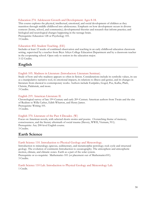#### Education 274. Adolescent Growth and Development: Ages 8-18.

This course explores the physical, intellectual, emotional, and social development of children as they transition through middle childhood into adolescence. Emphasis on how development occurs in diverse contexts (home, school, and community); developmental theories and research that inform practice; and biological and neurological changes happening in the teenage brain. Prerequisite: Education 128 or Psychology 101. 3 Credits.

#### Education 402. Student Teaching. (EE)

Includes at least 12 weeks of combined observation and teaching in an early childhood education classroom setting, supervised by a teacher from Bryn Athyn College Education Department and by a classroom teacher in the cooperating school. Open only to seniors in the education major. 3-12 Credits.

### **English**

#### English 105. Madness in Literature (Introductory Literature Seminar).

Study of how and why madness appears so often in fiction. Considerations include its symbolic values, its use as a manipulative narrative tool, its emotional impacts, its relations to illness and genius, and its changes in literature from classical to contemporary works. Authors include Euripides, Gogol, Poe, Kafka, Plath, Christie, Palahniuk, and more.

3 Credits.

#### English 219. American Literature II.

Chronological survey of late 19th-Century and early 20th-Century American authors from Twain and the rise of Realism to Willa Cather, Edith Wharton, and Henry James. Prerequisite: Writing 101. 3 Credits.

#### English 370. Literature of the Past 4 Decades. (W)

Focus on American novels, with selected shorts stories and poems. Overarching theme of memory, consciousness, and the literary aftermath of social trauma (Slavery, WWII, Vietnam, 911). Prerequisite: Any 200-level English course. 3 Credits.

### **Earth Science**

#### Earth Science 110. Introduction to Physical Geology and Meteorology.

Introduction to mineralogy; igneous, sedimentary, and metamorphic petrology; rock cycle and structural geology. The evolution of continents Introduction to oceanography. The atmosphere and atmospheric motion, climate, and climatic zones. Earth as a part of the solar system. Prerequisite or co-requisite: Mathematics 101 (or placement out of Mathematics101). 3 Credits.

Earth Science 110 Lab. Introduction to Physical Geology and Meteorology Lab. 1 Credit.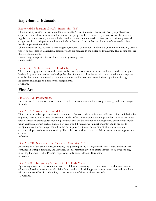### **Experiential Education**

#### Experiential Education 198/298. Internship. (EE)

The internship course is open to students with a 2.5 GPA or above. It is a supervised, pre-professional experience with clear links to a student's academic program. It is conducted primarily or totally outside a regular course classroom, and for which a student earns academic credit. It is organized primarily around an assignment in a work-place situation in which students working under the direction of a supervisor learn hands-on professional skills.

The internship course requires a learning plan, reflective component, and an analytical component (e.g., essay, paper, or presentation). Individual learning plans are retained in the office of Internship. This course satisfies the EE requirement.

Course may be repeated for academic credit by arrangement. Credit variable.

#### Leadership 130. Introduction to Leadership. (EE)

This course engages students in the basic tools necessary to become a successful leader. Students design a leadership project and review leadership theories. Students analyze leadership characteristics and target an area for their own strengthening. Students set measurable goals that stretch their capabilities through leadership challenges and homework assignments. 3 Credits.

### **Fine Arts**

#### Fine Arts 125. Photography.

Introduction to the use of various cameras, darkroom techniques, alternative processing, and basic design. 3 Credits.

#### Fine Arts 151. Architectural Modeling.

This course provides opportunities for students to develop their visualization skills in architectural design by requiring them to make three-dimensional models of two-dimensional drawings. Students will be presented with a variety of architectural modeling scenarios and will be required to develop three-dimensional models using various materials such as paper, clay, and wood. Students work independently and in groups to complete design scenarios presented to them. Emphasis is placed on communication, accuracy, and craftsmanship in architectural modeling. The collection and models in the Glencairn Museum support these endeavors.

3 Credits.

#### Fine Arts 210. Nineteenth and Twentieth Centuries. (IL)

Examination of the architecture, sculpture, and painting of the late eighteenth, nineteenth, and twentieth centuries in Europe, England, and America. Special attention given to artists influences by Swedenborg, including Flaxman, Blake, Powers, Page, Gaugin, Inness, Pyle, and Burnham. 3 Credits.

#### Fine Arts 251. Integrating Art into a Child's Early Years.

By reading about the developmental states of children, discussing the issues involved with elementary art education, looking at examples of children's art, and actually doing projects, future teachers and caregivers will become confident in their ability to use art as one of their teaching methods. 1.5 Credits.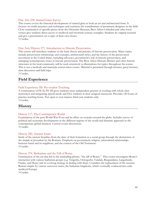#### Fine Arts 258. Stained Glass Survey.

This course covers the historical development of stained glass as both an art and architectural form. It focuses on studio practices and techniques and examines the contributions of prominent designers in the field. Close examination of specific pieces from the Glencairn Museum, Bryn Athyn Cathedral and other local venues give students direct access to medieval and twentieth-century examples. Students do original research and give a presentation on a topic of their own choice. 3 Credits.

#### Fine Arts/History 271. Introduction to Historic Preservation.

This course will introduce students to the basic theory and practice of historic preservation. Major topics include preservation terminology and concepts, architectural styles, and the history of the preservation movement in the United States, including advocacy, government's role in historic preservation, and emerging/contemporary issues in historic preservation. The Bryn Athyn Historic District and other historic structures in the local community will be used extensively as illustrations for topics throughout the course. This is not a methods and materials conservation course. Material is presented through lectures, guest lectures, class discussion and field trips.

3 Credits.

### **Field Experience**

#### Field Experience III: Pre-student Teaching.

A continuation of FE II, FE III gives students more independent practice in working with whole class instruction and integrating special needs and ELL students in their assigned classroom. Provides 120 hours of practice teaching hours. Not open to non-majors; third-year students only. 3 Credits.

### **History**

#### History 117. The Contemporary World.

Examination of the post-World War II era and its effect on societies around the globe. Includes survey of political and economic developments in the different regions of the world and thematic approach to the contemporary global situation. Current events discussions. 3 Credits.

#### History 240. Ancient Israel.

Study of the ancient Israelites from the time of their formation as a social group through the destruction of the temple in Jerusalem by the Romans. Emphasis on government, religion, intercultural relationships between Israel and its neighbors, and the context of the Old Testament. 3 Credits.

#### History 276. Barbarians and the Fall of Rome.

Examination of the era that led to the misleading phrase: "the fall of Rome." This course investigates Rome's interaction with various barbarian groups (e.g. Visigoths, Ostrogoths, Vandals, Burgundians, Langobards, Franks, and Huns) and its evolving strategy in dealing with them. Considers the replacement of the western Roman empire by various successor states, the barbarian kingdoms, which eventually coalesced into early medieval Europe.

3 Credits.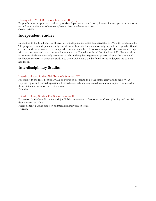#### History 298, 398, 498. History Internship II. (EE)

Proposals must be approved by the appropriate department chair. History internships are open to students in second year or above who have completed at least two history courses. Credit variable.

### **Independent Studies**

In addition to the listed courses, all areas offer independent studies numbered 299 or 399 with variable credit. The purpose of an independent study is to allow well-qualified students to study beyond the regularly offered courses. Students who undertake independent studies must be able to work independently between meetings with the instructor and have completed a minimum of 33 credits with a GPA of at least 2.70. Planning ahead is necessary: independent study proposals, syllabi, and required registration paperwork must be completed well before the term in which the study is to occur. Full details can be found in the undergraduate student handbook.

### **Interdisciplinary Studies**

#### Interdisciplinary Studies 390. Research Seminar. (IL)

For juniors in the Interdisciplinary Major. Focus on preparing to do the senior essay during senior year. Explore topics and research questions. Research scholarly sources related to a chosen topic. Formulate draft thesis statement based on interest and research. 2 Credits.

#### Interdisciplinary Studies 496. Senior Seminar II.

For seniors in the Interdisciplinary Major. Public presentation of senior essay. Career planning and portfolio development. Pass/Fail.

Prerequisite: A passing grade on an interdisciplinary senior essay. 1 Credit.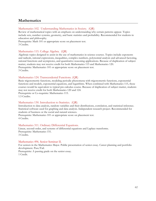### **Mathematics**

#### Mathematics 102. Understanding Mathematics in Society. (QR)

Review of mathematical topics with an emphasis on understanding why certain patterns appear. Topics include sets, number systems, geometry, and basic statistics and probability. Recommended for students in education and philosophy.

Prerequisite: Math 101 or appropriate score on placement test. 3 Credits.

#### Mathematics 115. College Algebra. (QR)

Algebraic topics designed to assist in the use of mathematics in science courses. Topics include exponents and radicals, rational expressions, inequalities, complex numbers, polynomial analysis and advanced factoring, rational functions and asymptotes, and quantitative reasoning applications. Because of duplication of subject matter, students may not receive credit for both Mathematics 115 and Mathematics 120. Prerequisite: Mathematics 101 or appropriate score on placement test. 3 Credits.

#### Mathematics 124. Transcendental Functions. (QR)

Basic trigonometric functions, modeling periodic phenomena with trigonometric functions, exponential functions and models, exponential equations, and logarithms. When combined with Mathematics 115, these courses would be equivalent to typical pre-calculus course. Because of duplication of subject matter, students may not receive credit for both Mathematics 120 and 124.

Prerequisite or Co-requisite: Mathematics 115. 1.5 Credits.

#### Mathematics 130. Introduction to Statistics. (QR)

Introduction to data analysis, random variables and their distributions, correlation, and statistical inference. Statistical software used for graphing and data analysis. Independent research project. Recommended for students of business or the social and natural sciences.

Prerequisite: Mathematics 101 or appropriate score on placement test. 4 Credits.

#### Mathematics 311. Ordinary Differential Equations.

Linear, second-order, and systems of differential equations and Laplace transforms. Prerequisite: Mathematics 151. 3 Credits.

#### Mathematics 496. Senior Seminar II.

For seniors in the Mathematics Major. Public presentation of senior essay. Career planning and portfolio development. Pass/Fail. Prerequisite: A passing grade on the senior essay.

1 Credit.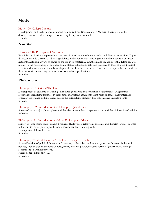### **Music**

#### Music 100. College Chorale.

Development and performance of choral repertoire from Renaissance to Modern. Instruction in the development of vocal techniques. Course may be repeated for credit. 1 Credit.

### **Nutrition**

#### Nutrition 110. Principles of Nutrition.

Principles of Nutrition explores how nutrients in food relate to human health and disease prevention. Topics discussed include current US dietary guidelines and recommendations, digestion and metabolism of major nutrients, nutrition at various stages of the life cycle (maternal, infant, childhood, adolescent, adulthood, later maturity), the relationship of socioeconomic status, culture, and religious practices to food choices, physical activity and nutrition, and the relationship of diet to health and disease. This course is especially beneficial for those who will be entering health-care or food related professions. 3 Credits.

### **Philosophy**

#### Philosophy 101. Critical Thinking.

Development of students' reasoning skills through analysis and evaluation of arguments. Diagraming arguments, identifying mistakes in reasoning, and writing arguments. Emphasis on issues encountered in everyday experience and in courses across the curriculum, primarily through classical deductive logic. 3 Credits.

#### Philosophy 102. Introduction to Philosophy. (Worldview)

Survey of some major philosophers and theories in metaphysics, epistemology, and the philosophy of religion. 3 Credits.

#### Philosophy 111. Introduction to Moral Philosophy. (Moral)

Survey of some major philosophers, problems (Euthyphro, relativism, egoism), and theories (aretaic, deontic, utilitarian) in moral philosophy. Strongly recommended: Philosophy 101. Prerequisite: Philosophy 102. 3 Credits.

#### Philosophy/Political Science 220. Political Thought. (Civil)

A consideration of political thinkers and theories, both ancient and modern, along with perennial issues in politics, such as justice, authority, liberty, order, equality, power, law, and forms of government. Strongly recommended: Philosophy 101. Prerequisite: Philosophy 102. 3 Credits.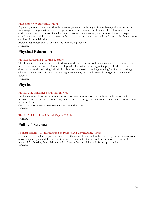#### Philosophy 340. Bioethics. (Moral)

A philosophical exploration of the ethical issues pertaining to the application of biological information and technology to the generation, alteration, preservation, and destruction of human life and aspects of our environment. Issues to be considered include: reproduction, euthanasia, genetic screening and therapy, experimentation with human and animal subjects, bio enhancement, ownership and nature, distributive justice, and integrity in publication.

Prerequisite: Philosophy 102 and any 100-level Biology course. 3 Credits.

### **Physical Education**

#### Physical Education 170. Frisbee Sports.

This 1 credit PE course is both an introduction to the fundamental skills and strategies of organized Frisbee play and a course designed to further develop individual skills for the beginning player. Frisbee requires development of the following individual skills: throwing/passing/catching, running/cutting and marking. In addition, students will gain an understanding of elementary team and personal strategies in offense and defense.

1 Credits.

### **Physics**

#### Physics 211. Principles of Physics II. (QR)

Continuation of Physics 210. Calculus-based introduction to classical electricity, capacitance, current, resistance, and circuits. Also magnetism, inductance, electromagnetic oscillations, optics, and introduction to modern physics.

Co-requisites or Prerequisites: Mathematics 151 and Physics 210. 3 Credits.

Physics 211 Lab. Principles of Physics II Lab. 1 Credit.

### **Political Science**

#### Political Science 101. Introduction to Politics and Governance. (Civil)

Examines the discipline of political science and the concepts involved in the study of politics and governance. Surveys regime types and the role and function of political institutions and organizations. Focus on the potential for thinking about civic and political issues from a religiously-informed perspective. 3 Credits.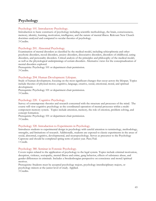### **Psychology**

#### Psychology 101. Introductory Psychology.

Introduction to basic constructs of psychology including scientific methodology, the brain, consciousness, memory, identity, learning, motivation, intelligence, and the nature of mental illness. Relevant New Church doctrines analyzed and compared to secular theories of psychology. 3 Credits.

#### Psychology 201. Abnormal Psychology.

Examination of mental disorders as classified by the medical model, including schizophrenia and other psychotic disorders, mood disorders, anxiety disorders, dissociative disorders, disorders of childhood, eating disorders, and personality disorders. Critical analysis of the principles and philosophy of the medical model, as well as the physiological underpinnings of certain disorders. Alternative views for the conceptualization of mental disorders explored.

Prerequisite: Psychology 101 or department chair permission. 3 Credits.

#### Psychology 204. Human Development: Lifespan.

Study of human development, focusing on the most significant changes that occur across the lifespan. Topics include theories of physical-motor, cognitive, language, creative, social, emotional, moral, and spiritual development.

Prerequisite: Psychology 101 or department chair permission. 3 Credits.

#### Psychology 220. Cognitive Psychology.

Survey of contemporary theories and research concerned with the structure and processes of the mind. The course will view cognitive psychology as the coordinated operation of mental processes within a multicomponent memory system. Topics include attention, memory, the role of emotion, problem solving, and concept formation.

Prerequisite: Psychology 101 or department chair permission. 3 Credits.

#### Psychology 320. Introduction to Experiments in Psychology.

Introduces students to experimental design in psychology with careful attention to terminology, methodology, strengths, and limitations of research. Additionally, students are exposed to classic experiments in the areas of social, abnormal, cognitive, developmental, and neuropsychology. Serves as precursor to the Psychology Capstone and should be completed spring term of junior year. Pass/Fail. 1 Credit.

#### Psychology 380. Seminar in Forensic Psychology.

Covers topics related to the application of psychology to the legal system. Topics include criminal motivation, deception, violence, sociopathy, mental illness and crime, gang behavior, effects of substance abuse, and gender differences in criminals. Includes a Swedenborgian perspective on conscience and moral/spiritual motives.

Prerequisite: Students must be accepted psychology majors, psychology interdisciplinary majors, or psychology minors at the junior level of study. Applied. 3 Credits.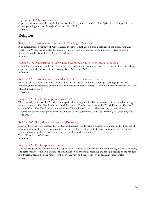#### Psychology 492. Senior Seminar.

Capstone for seniors in the psychology major. Public presentation. Critical analysis of ethics in psychology. Career planning and portfolio development. Pass/Fail. 1 Credit.

### **Religion**

#### Religion 110. Introduction to Systematic Theology. (Doctrinal)

A comprehensive overview of New Church doctrine. Emphasis on core doctrines of the Lord, faith and charity, the Word, the afterlife, the mind, Divine providence, judgment, and marriage. Presupposes a moderate familiarity with New Church teachings. 3 Credits.

#### Religion 115. Introduction to New Church Doctrine on Life After Death. (Doctrinal)

New Church teachings on the life after death studied in their own context and the context of the near-death experience and the history of eschatology. Text: *Heaven and Hell.* 3 Credits.

#### Religion 123. Introduction to the Old and New Testaments. (Scriptural)

Introduction to the various parts of the Bible, the history of the Israelites and Jews, the geography of Palestine, with an emphasis on the different methods of biblical interpretation, with special emphasis on New Church interpretation.

3 Credits.

#### Religion 125. The Holy Scripture. (Doctrinal)

The symbolic nature of the Word and the spiritual meaning within. The importance of the literal meaning and its interpretation. The Word in heaven and the church. Dual expressions in the Word. Heresies. The Lord and the Word. The Word in very ancient times. The universal church. The necessity of revelation. Illustrations drawn throughout from the Old and New Testaments. Text: *The Doctrine of the Sacred Scripture*. 3 Credits.

#### Religion 205. God, Man, and Creation. (Doctrinal)

Study of how the Lord created the spiritual and natural worlds, with emphasis on humans as the purpose of creation. Vital relationships between the Creator and His creation, with the special role played by humans. Focus on teaching about form, order, degrees, influx, and conjunction. Text: *Divine Love and Wisdom*. 3 Credits.

#### Religion 222. The Gospels. (Scriptural)

Detailed study of the four individual Gospels with attention to similarities and distinctions, historical context, and relationship to the Old Testament. Examination of the literal meaning and its significance to the modern life. Special attention to the nature of the First Advent and the testimony concerning Jesus Christ. 3 Credits.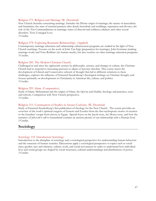#### Religion 273. Religion and Marriage (W. Doctrinal)

New Church doctrine concerning marriage. Includes the Divine origin of marriage; the nature of masculinity and femininity; the state of married partners after death; betrothals and weddings; separation and divorce; the role of the Ten Commandments in marriage; states of discord and coldness; adultery and other sexual disorders. Text: Conjugial Love.

3 Credits.

#### Religion 278. Exploring Romantic Relationships. (Applied)

Contemporary marriage education and relationship enhancement programs are studied in the light of New Church teachings. Focuses on the work of John Van Epp (preparation for marriage), John Gottman (making marriage work) and Tony Robbins (six human needs), but also touches on other marriage education programs. 3 Credits.

#### Religion 285. The Modern Christian Church.

Challenged in and since the eighteenth century by philosophy, science, and changes in culture, the Christian Church had to respond to increasing pressure to adjust or become obsolete. This course traces the development of Liberal and Conservative schools of thought that led to different solutions to these challenges, explores the influence of Emanuel Swedenborg's theological writings on Christian thought, and focuses primarily on developments in Christianity in American life, culture, and politics. 3 Credits.

#### Religion 295. Islam. (Comparative)

Study of Islam: Muhammad and the origins of Islam, the Qur'an and Hadith, theology and practices, sects and schools. Comparison with New Church perspective. 3 Credits.

#### Religion 311. Continuation of Studies in Arcana Coelestia. (W, Doctrinal)

Study of Emanuel Swedenborg's first publication of theology for the New Church. The course provides an overview of the work's spiritual exegesis of Genesis and Exodus-from the first mythopoeic stories of creation to the Israelites' escape from slavery in Egypt. Special focus on the Jacob story, the Moses story, and how the narrative of Jehovah's call to humankind contains an ancient picture of our relationship with a Human God. 3 Credits.

### **Sociology**

#### Sociology 110. Introductory Sociology.

Introduction to the discipline of sociology and a sociological perspective for understanding human behaviors and the structure of human societies. Discussions apply a sociological perspective to topics such as social class, gender, race and ethnicity, culture, work, and social movements in order to understand how individual lives and social groups are shaped by social structures, cultural understandings and distributions of power. 3 Credits.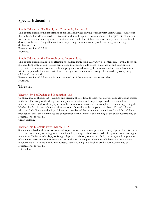### **Special Education**

#### Special Education 213. Family and Community Partnerships.

This course examines the importance of collaboration when serving students with various needs. Addresses the skills and knowledges needed by teachers and interdisciplinary team members. Strategies for collaborating with families, community agencies, educational staff, and other stakeholders will be explored. Students will develop skills for building effective teams, improving communication, problem-solving, advocating and decision-making.

Prerequisite: Special Ed 111. 3 Credits.

#### Special Education 313. Research-based Interventions.

This course examines models of effective specialized instruction in a variety of content areas, with a focus on literacy. Emphasis on using assessment data to inform and guide effective instruction and intervention. Exploration of multi-sensory methods and programs for addressing the needs of students with disabilities within the general education curriculum. Undergraduate students can earn graduate credit by completing additional coursework.

Prerequisite: Special Education 111 and permission of the education department chair. 3 Credits.

### **Theater**

#### Theater 130. Set Design and Production. (EE)

Continuation of Theater 120: building and dressing the set from the designer drawings and elevations created in the fall. Finalizing of the design, including color elevations and prop design. Students required to understand and use all of the equipment in the theater as it pertains to the completion of the design using the Mitchell Performing Arts Center as the classroom. Once the set is complete, the class shifts and will work with the play's director and will participate as a member of the run-crew for the winter Bryn Athyn College production. Final project involves the construction of the actual set and running of the show. Course may be repeated once for credit.

Credit variable.

#### Theater 150. Dramatic Performance. (EEC)

Students involved in the casts or technical aspects of certain dramatic productions may sign up for this course. Exposure to a variety of acting techniques, including the specialized work needed for productions that might range from Shakespeare's plays, to foreign plays in translation, to musicals. Script analysis, oral interpretation of character, performance movement, dance, and vocal techniques. Variable credit based on the student's involvement. 5-12 hours weekly in rehearsals/classes leading to a finished production. Course may be repeated once for credit. 1-3 Credits.

68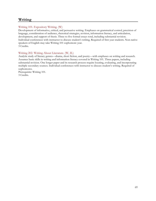### **Writing**

#### Writing 101. Expository Writing. (W)

Development of informative, critical, and persuasive writing. Emphases on grammatical control, precision of language, consideration of audience, rhetorical strategies, revision, information literacy, and articulation, development, and support of thesis. Three to five formal essays total, including substantial revision. Individual conferences with instructor to discuss student's writing. Required of first year students. Non-native speakers of English may take Writing 101 sophomore year. 3 Credits.

#### Writing 202. Writing About Literature. (W, IL)

Analytic study of literary genres—drama, short fiction, and poetry—with emphases on writing and research. Assumes basic skills in writing and information literacy covered in Writing 101. Three papers, including substantial revision. One longer paper and its research process require locating, evaluating, and incorporating multiple secondary sources. Individual conferences with instructor to discuss student's writing. Required of sophomores.

Prerequisite: Writing 101. 3 Credits.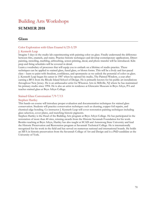## Building Arts Workshops **SUMMER 2018**

### **Glass**

#### Color Exploration with Glass Enamel 6/25-5/29

#### J. Kenneth Leap

Imagine 5 days in the studio lab experimenting with painting color on glass. Finally understand the difference between frits, enamels, and stains. Practice historic techniques and develop contemporary applications. Direct painting, stenciling, marbling, airbrushing, screen printing, decal, and photo transfer will be introduced. Kiln prep and firing schedules will be covered in detail.

Learn a vocabulary of processes that will equip you to embark on a lifetime of studio practice. These techniques can be applied to stained glass, fused glass, or blown forms. This will be a lively and fast-paced class – learn to paint with freedom, confidence, and spontaneity as we unlock the potential of color on glass. J. Kenneth Leap began his career in 1987 when he opened his studio, The Painted Window, a year after earning a BFA from the Rhode Island School of Design. He is primarily known for his public art installations throughout New Jersey. He is an ambassador artist for Wheaton Arts in Millville, NJ where he has maintained his primary studio since 1994. He is also an artist in residence at Glencairn Museum in Bryn Athyn, PA and teaches stained glass at Bryn Athyn College.

#### Stained Glass Conversation 7/9-7/13

#### Stephen Hartley

This hands-on course will introduce proper evaluation and documentation techniques for stained glass conservation. Students will practice conservation techniques such as cleaning, copper foil repairs, and chemical edge bonding. Co-instructor J. Kenneth Leap will cover restoration painting techniques including glass selection, cover plates, and matching historic pigments.

Stephen Hartley is the Head of the Building Arts program at Bryn Athyn College. He has participated in the restoration of more than 40 sites, winning awards from the Historic Savannah Foundation for his work. Besides teaching at Bryn Athyn, Hartley has also taught at SCAD and Armstrong State University and lead the Historic Preservation and Restoration program at Savannah Technical College. He is internationally recognized for his work in the field and has served on numerous national and international boards. He holds an MFA in historic preservation from the Savannah College of Art and Design and is a PhD candidate at the University of York.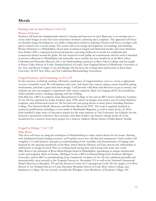### **Metals**

#### Painting with an Iron Palette 6/18-6/22

#### Warren Holzman

Students will learn the fundamentals related to chasing and repousse in steel. Repousse is an exciting way to create relief images in steel that exist somewhere between a drawing and a sculpture. The approach will focus on dynamic image development, not unlike composition related to painting. Projects will focus on larger scale pieces created over a wood stump. The course will cover design development, tool making, and finishing. Warren Holzman is a Philadelphia–based artist working in forged and fabricated metals, and owns Holzman Iron Studio LTD, a respected professional practice executing craftwork in metals for residential and commercial clients around the globe. He has received several public art commissions and his work is included in private collections in Philadelphia and nationally, most notably the new metalwork at the Bryn Athyn Cathedral and Glencairn Museum. He is the blacksmithing instructor at Bryn Athyn College, and has taught at Peters Valley School of Crafts, Penland School of Crafts, New England School of Metalwork, University of the Arts, and Moore College of Art and Design. He has been the visiting artist and lecturer at Kent State University, SUNY New Paltz, and The California Blacksmithing Association.

#### Forged Furniture and Furnishings 6/25-6/29

In this intensive workshop students will build a small piece of forged furniture such as a stool, a nightstand, or even a beautiful vessel. We will hammer rods, bars, and sheets into various shapes, create beautiful joining mechanisms, and learn a great deal about design. I will provide solid ideas and direction to get us started, and students are also encouraged to experiment with various solutions. Basic hot forging will be the foundation, which includes joinery, bending, tapering, and fire welding.

John Rais has a BFA in sculpture from Massachusetts College of Art and an MFA from Cranbrook Academy of Art. He has operated his studio business since 1998, where he designs and creates one-of-a-kind furniture, sculpture, and architectural metal art. He has had solo and group shows at many places including Purchase College, The National Metals Museum, and Massimo Bizzocchi NYC. His work is regularly featured in numerous publications including a cover article in Metalsmith Magazine, as well as many books. In 2012, John installed a large series of decorative panels for the main staircase at Yale University Art Galleries for the museum's permanent collection. Most recently, John Rais Studios was hired to design nearly all of the metalwork for a massive renovation project for a famous Addison Mizner Home in Palm Beach, Florida.

#### Forged by Design 7/16-7/20

#### Mike Rossi

This class will focus on using the techniques of blacksmithing to make useful objects for the home. Starting with fundamental hand-forging exercises, we'll quickly move into self-directed assignments. Each student will complete 2-3 small projects, and gain an understanding of the versatility and characteristics of forging steel. Inspired by the amazing metalwork of the Bryn Athyn Historic District, we'll also discuss the relationship of architecture to design in metal. Plan on working hard, having fun, and leaving with some new work! Mike Rossi is the principal of Rossi Metal Design based in Philadelphia, specializing in unique architectural works and sculpture. Born in Pontiac, Michigan, he has a BFA in blacksmithing from Northern Michigan University, and an MFA in metalsmithing from Cranbrook Academy of Art. He has exhibited nationally and internationally, most recently at the Torpedo Factory in Alexandria, VA as well as the National Ornamental Metals Museum in Memphis, TN and the Houston Center for Contemporary Craft. He has taught at Ox-Bow School of Art, Penland School of Craft, Haystack Mountain School of Craft, Bryn Athyn College, and Kalamazoo College. He was recently awarded the Windgate Artist Residency at Purchase College, NY.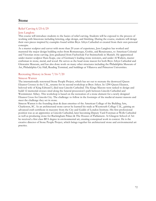### **Stone**

#### Relief Carving 6/25-6/29

#### Jens Langlotz

This course will introduce students to the basics of relief carving. Students will be exposed to the process of working with limestone including lettering, edge design, and finishing. During the course, students will design their own pieces inspired by examples found within Bryn Athyn Cathedral or created from their own personal concepts.

As a master sculptor and carver with more than 20 years of experience, Jens Langlotz has worked and mastered the major design building styles-from Romanesque, Gothic, and Renaissance, to American Colonial and Victorian stone carving. Jens graduated from Fachschule Fur Steintechnik in Munich. He apprenticed under master sculptor Hans Kupe, one of Germany's leading stone restorers, and under Al Walters, master craftsman in stone, metal, and wood. He serves as the head stone mason for both Bryn Athyn Cathedral and Glencairn Museum, and has also done work on many other structures including the Philadelphia Museum of Art, Philadelphia City Hall, Reading Terminal, and buildings at Villanova and Princeton Universities.

#### Recreating History in Stone 7/16-7/20

#### Simeon Warren

The internationally renowned Stone People Project, which has set out to recreate the destroyed Queen Eleanor Crosses in the U.K., returns for its second workshop at Bryn Athyn. In 1290 Queen Eleanor, beloved wife of King Edward I, died near Lincoln Cathedral. The Kings Masons were tasked to design and build 12 memorial crosses sited along the funeral procession's path between Lincoln Cathedral and Westminster Abbey. This workshop is based on the recreation of a stone element for a newly designed Eleanor Cross for Lincoln City. The challenge: to follow in the footsteps of the medieval master masons and meet the challenge they set in stone.

Simeon Warren is the founding dean & dean emeritus of the American College of the Building Arts, Charleston, SC. As an architectural stone carver he learned his trade at Weymouth College U.K., gaining an advanced craft certificate in masonry from the City and Guilds of London Institute. His first professional position was as an apprentice at Lincoln Cathedral, later becoming Deputy Yard Foreman at Wells Cathedral as well as producing stone for Buckingham Palace & The Houses of Parliament. At Glasgow School of Art he received a first class BFA degree in environmental art, creating conceptual work in context. He is the creative director of Stone People Project, which brings together his architectural stone and environmental art practice.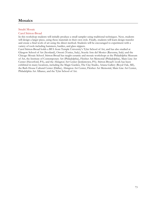# **Mosaics**

### Smalti Mosaic

#### Carol Stirton-Broad

In this workshop students will initially produce a small sampler using traditional techniques. Next, students will design a larger piece, using these materials in their own style. Finally, students will learn design transfer and create a final work of art using the direct method. Students will be encouraged to experiment with a variety of tools including hammers, hardies, and glass nippers.

Carol Stirton-Broad holds a BFA from Temple University's Tyler School of Art, and has also studied at Glasgow School of Art (Scotland), Orsoni (Venice, Italy), Scuola Arte del Mosico (Ravenna, Italy) and the Chicago Mosaic School. Stirton-Broad has taught ceramic and mosaic workshops at the Philadelphia Museum of Art, the Institute of Contemporary Art (Philadelphia), Fleisher Art Memorial (Philadelphia), Main Line Art Center (Haverford, PA), and the Abington Art Center (Jenkintown, PA). Stirton-Broad's work has been exhibited in many locations, including the Magic Garden, The Clay Studio, Ariana Gallery (Royal Oak, MI), the Bath House Cultural Center (Dallas), Abington Art Center, Fleisher Art Memorial, Main Line Art Center, Philadelphia Art Alliance, and the Tyler School of Art.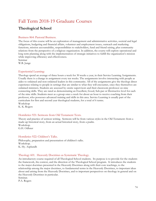# Fall Term 2018-19 Graduate Courses

# **Theological School**

### Business 864: Pastoral Business.

The focus of this course will be an exploration of management and administrative activities, societal and legal obligations, budgeting and financial affairs, volunteer and employment issues, outreach and marketing functions, mission accountability, responsibilities to stakeholders, fund and friend raising, plus community relations from the perspective of a religious organization. In addition, the course will explore operational and long term planning along with the implementation of strategic initiatives to fulfill the organization's mission while improving efficiency and effectiveness.

Seminar W.B. Junge

#### Experiential Learning:

Theologs spend an average of three hours a week for 30 weeks a year, in their Service Learning Assignments. Usually there is a change in assignment every ten weeks. The assignments involve interacting with people as aides to ordained and non-ordained leaders in this community. All of the assignments give the theologs direct experience relating to people in settings that are similar to what they will encounter, once they themselves are ordained ministers. Students are assessed by onsite supervisors and their classroom professor on nine connecting skills. They are rated as demonstrating an Excellent, Good, Sub-par or Destructive level for each of the nine skills. Students meet as a group once a week for about an hour to receive coaching from their professor, who possesses advanced training and skills in this area. Service Learning is usually part of the curriculum for first and second year theological students, for a total of 6 terms. Workshop

K. K. Rogers

# Homiletics 921: Sermons from Old Testament Texts.

Theory and practice of sermon writing. Sermons will be from various styles in the Old Testament: from a made-up historical story, from an actual historical story, from a psalm. Workshop. G.H. Odhner

#### Homiletics 922: Children's Talks.

Philosophy, preparation and presentation of children's talks. Workshop. K. Hy. Asplundh

#### Theology 601. Heavenly Doctrines as Systematic Theology.

An introductory course required of all Theological School students. Its purpose is to provide for the students the framework, the context, and the direction of the Theological School program. It introduces the students to the major doctrines presented in the Heavenly Doctrines along with their core teachings, to the relationship among the major doctrines, to fundamental terms in the Heavenly Doctrines, to important ideas about and arising from the Heavenly Doctrines, and to important perspectives on theology in general and on the Heavenly Doctrines in particular.

Seminar.

P.A. Rogers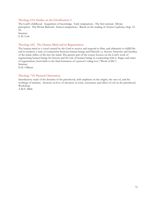#### Theology 614: Studies on the Glorification: I.

The Lord's childhood. Acquisition of knowledge. Early temptations. The first rational. Divine perception. The Divine Rational. Inmost temptations. Based on the reading of Arcana Coelestia, chap. 12- 22.

Seminar. S. D. Cole

### Theology 642. The Human Mind and its Regeneration.

The human mind as a vessel created by the Lord to receive and respond to Him, and ultimately to fulfill His end in creation: a state of conjunction between human beings and Himself, i.e. heaven. Structure and faculties of the mind, influx of life into the mind. The greater part of the course focuses on the Lord's work of regenerating human beings for heaven and the role of human beings in cooperating with it. Stages and states of regeneration, from birth to the final formation of a person's ruling love ("Book of life"). Seminar.

G.H. Odhner

#### Theology 710: Pastoral Orientation.

Introductory study of the doctrine of the priesthood, with emphasis on the origins, the uses of, and the workings of ministry. Sections on love of salvation of souls, conscience and effect of evil on the priesthood. Workshop.

A.M.T. Dibb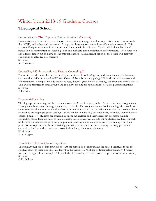# Winter Term 2018-19 Graduate Courses

# **Theological School**

# Communication 716: Topics in Communication I. (5 classes)

Communication is one of the most important activities we engage in as humans. It is how we connect with the LORD, each other, and our world. As a pastor, learning to communicate effectively is essential. This course will explore communication topics and their practical application. Topics will include the role of persuasion in communication, listening skills, and available communication tools for pastors. The course will also address leadership and how to lead through change. A significant portion of the course will deal with structuring an effective oral message.

Seminar. M.H. Williams

# Counselling 845: Introduction to Pastoral Counseling II.

Focus of class will be furthering the development of emotional intelligence, and strengthening the listening and attending skills developed in PT 844. There will be a focus on applying skills in situational contexts and life transitions. Examples include death and loss, divorce, grief, illness, parenting, addiction and mental illness. This will be practiced in small groups and role plays looking for applications to real life pastoral situations. Seminar.

K.H. Roth

# Experiential Learning:

Theologs spend an average of three hours a week for 30 weeks a year, in their Service Learning Assignments. Usually there is a change in assignment every ten weeks. The assignments involve interacting with people as aides to ordained and non-ordained leaders in this community. All of the assignments give the theologs direct experience relating to people in settings that are similar to what they will encounter, once they themselves are ordained ministers. Students are assessed by onsite supervisors and their classroom professor on nine connecting skills. They are rated as demonstrating an Excellent, Good, Sub-par or Destructive level for each of the nine skills. Students meet as a group once a week for about an hour to receive coaching from their professor, who possesses advanced training and skills in this area. Service Learning is usually part of the curriculum for first and second year theological students, for a total of 6 terms. Workshop.

K. K. Rogers

# Homiletics 911: Principles of Exposition.

The primary purpose of this course is to learn the principles of expounding the Sacred Scripture to see its spiritual sense, as these principles are taught in the theological Writings of Emanuel Swedenborg. Students will learn to apply these principles. They will also be introduced to the theory and practice of sermon writing. Seminar.

G.H. Odhner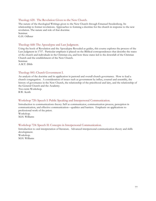#### Theology 620. The Revelation Given to the New Church.

The nature of the theological Writings given to the New Church through Emanuel Swedenborg. Its relationship to former revelations. Approaches to forming a doctrine for the church in response to the new revelation. The nature and role of that doctrine. Seminar. G.H. Odhner

#### Theology 668: The Apocalypse and Last Judgment.

Using the book of Revelation and the Apocalypse Revealed as guides, this course explores the process of the Last Judgment in 1757. Particular emphasis is placed on the Biblical correspondences that describe the states of the church and individuals in the Christian era, and how these states led to the downfall of the Christian Church and the establishment of the New Church. Seminar.

A.M.T. Dibb

#### Theology 841: Church Government I.

An analysis of the doctrine and its application in pastoral and overall church governance. How to lead a church congregation. A consideration of issues such as government by influx, counsel and assembly, the history of governance in the New Church, the relationship of the priesthood and laity, and the relationship of the General Church and the Academy.

Two-term Workshop. B.W. Keith

#### Workshop 720: Speech I: Public Speaking and Interpersonal Communication.

Introduction to communications theory: Self as communicator, communication process, perception in communication, and effective communication—qualities and barriers. Emphasis on applications to professional work of the priest. Workshop. M.H. Williams

#### Workshop 724: Speech II: Concepts in Interpersonal Communication.

Introduction to oral interpretation of literature. Advanced interpersonal communication theory and skills development. Workshop. M.H. Williams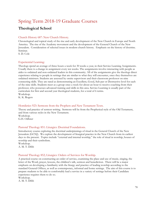# Spring Term 2018-19 Graduate Courses

# **Theological School**

# Church History 687: New Church History.

Chronological and topical study of the rise and early development of the New Church in Europe and North America. The rise of the Academy movement and the development of the General Church of the New Jerusalem. Consideration of selected issues in modern church history. Emphasis on the history of doctrine. Seminar.

S. D. Cole

# Experiential Learning:

Theologs spend an average of three hours a week for 30 weeks a year, in their Service Learning Assignments. Usually there is a change in assignment every ten weeks. The assignments involve interacting with people as aides to ordained and non-ordained leaders in this community. All of the assignments give the theologs direct experience relating to people in settings that are similar to what they will encounter, once they themselves are ordained ministers. Students are assessed by onsite supervisors and their classroom professor on nine connecting skills. They are rated as demonstrating an Excellent, Good, Sub-par or Destructive level for each of the nine skills. Students meet as a group once a week for about an hour to receive coaching from their professor, who possesses advanced training and skills in this area. Service Learning is usually part of the curriculum for first and second year theological students, for a total of 6 terms. Workshop.

K. K. Rogers

# Homiletics 923: Sermons from the Prophets and New Testament Texts.

Theory and practice of sermon writing. Sermons will be from the Prophetical style of the Old Testament, and from various styles in the New Testament. Workshop. G.H. Odhner

# Pastoral Theology 851: Liturgics: Doctrinal Foundations.

Introductory course exploring the doctrinal underpinnings of ritual in the General Church of the New Jerusalem (GCNJ). We explore the development of liturgical practice in the New Church from its earliest days to the present. Topics include "external and internal worship," the role of ritual in worship, houses of worship and their symbolism.

Workshop. A. M. T. Dibb

# Pastoral Theology 852; Liturgics: Orders of Services for Worship.

A practical course on constructing an order of service, examining the place and use of music, singing, the letter of the Word, prayer, lessons, the children's talk, sermon and benediction. There will be a major emphasis on developing a familiarity with the liturgy and practice of leading worship according to the standard General Offices, as well as contemporary, informal and home settings. The aim of this course is to prepare students to be able to comfortably lead a service in a variety of settings before their Candidate experience requires them to do so.

Workshop.

A. M. T. Dibb